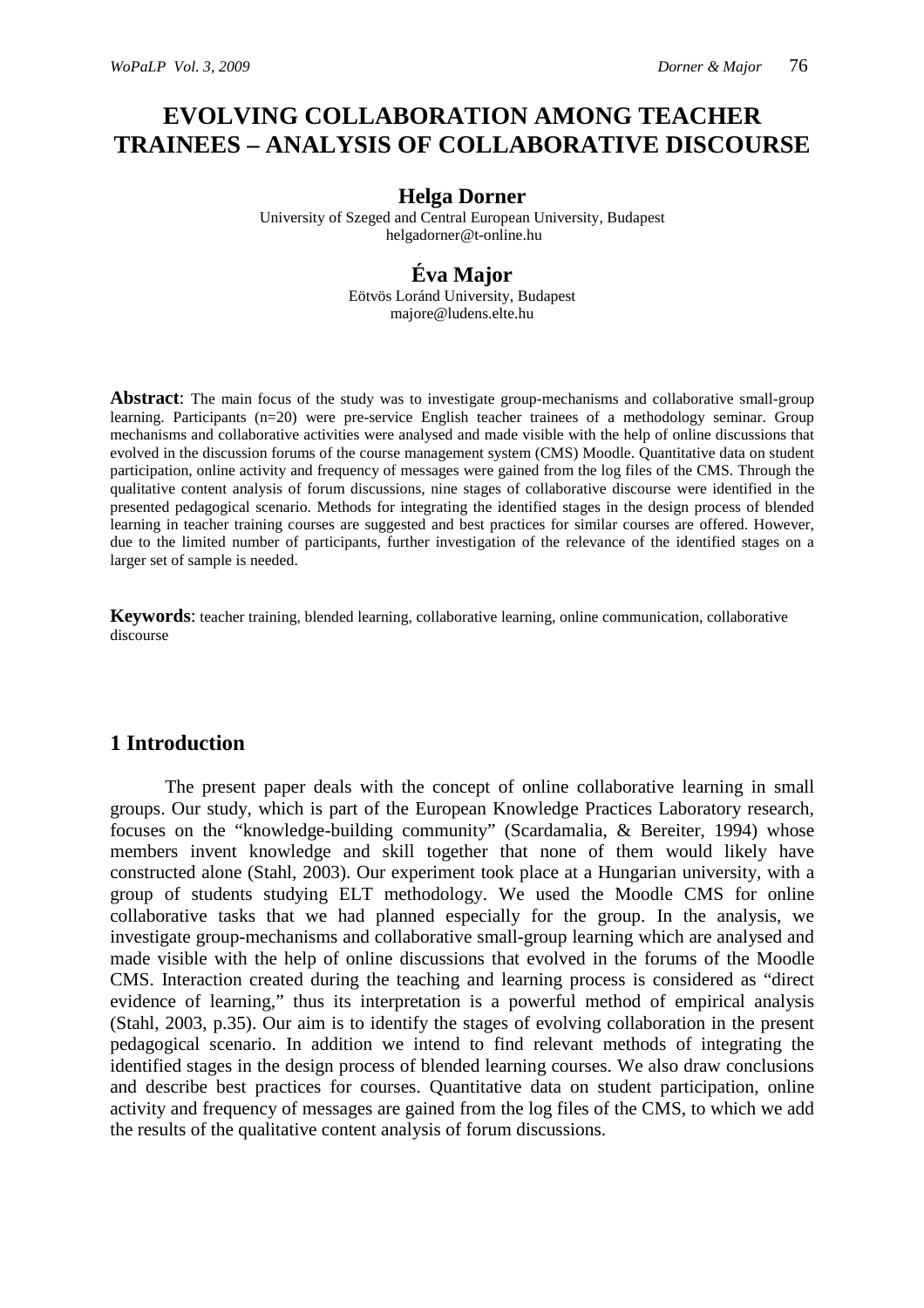# **EVOLVING COLLABORATION AMONG TEACHER TRAINEES – ANALYSIS OF COLLABORATIVE DISCOURSE**

#### **Helga Dorner**

University of Szeged and Central European University, Budapest helgadorner@t-online.hu

## **Éva Major**

Eötvös Loránd University, Budapest majore@ludens.elte.hu

**Abstract**: The main focus of the study was to investigate group-mechanisms and collaborative small-group learning. Participants (n=20) were pre-service English teacher trainees of a methodology seminar. Group mechanisms and collaborative activities were analysed and made visible with the help of online discussions that evolved in the discussion forums of the course management system (CMS) Moodle. Quantitative data on student participation, online activity and frequency of messages were gained from the log files of the CMS. Through the qualitative content analysis of forum discussions, nine stages of collaborative discourse were identified in the presented pedagogical scenario. Methods for integrating the identified stages in the design process of blended learning in teacher training courses are suggested and best practices for similar courses are offered. However, due to the limited number of participants, further investigation of the relevance of the identified stages on a larger set of sample is needed.

**Keywords**: teacher training, blended learning, collaborative learning, online communication, collaborative discourse

# **1 Introduction**

The present paper deals with the concept of online collaborative learning in small groups. Our study, which is part of the European Knowledge Practices Laboratory research, focuses on the "knowledge-building community" (Scardamalia, & Bereiter, 1994) whose members invent knowledge and skill together that none of them would likely have constructed alone (Stahl, 2003). Our experiment took place at a Hungarian university, with a group of students studying ELT methodology. We used the Moodle CMS for online collaborative tasks that we had planned especially for the group. In the analysis, we investigate group-mechanisms and collaborative small-group learning which are analysed and made visible with the help of online discussions that evolved in the forums of the Moodle CMS. Interaction created during the teaching and learning process is considered as "direct evidence of learning," thus its interpretation is a powerful method of empirical analysis (Stahl, 2003, p.35). Our aim is to identify the stages of evolving collaboration in the present pedagogical scenario. In addition we intend to find relevant methods of integrating the identified stages in the design process of blended learning courses. We also draw conclusions and describe best practices for courses. Quantitative data on student participation, online activity and frequency of messages are gained from the log files of the CMS, to which we add the results of the qualitative content analysis of forum discussions.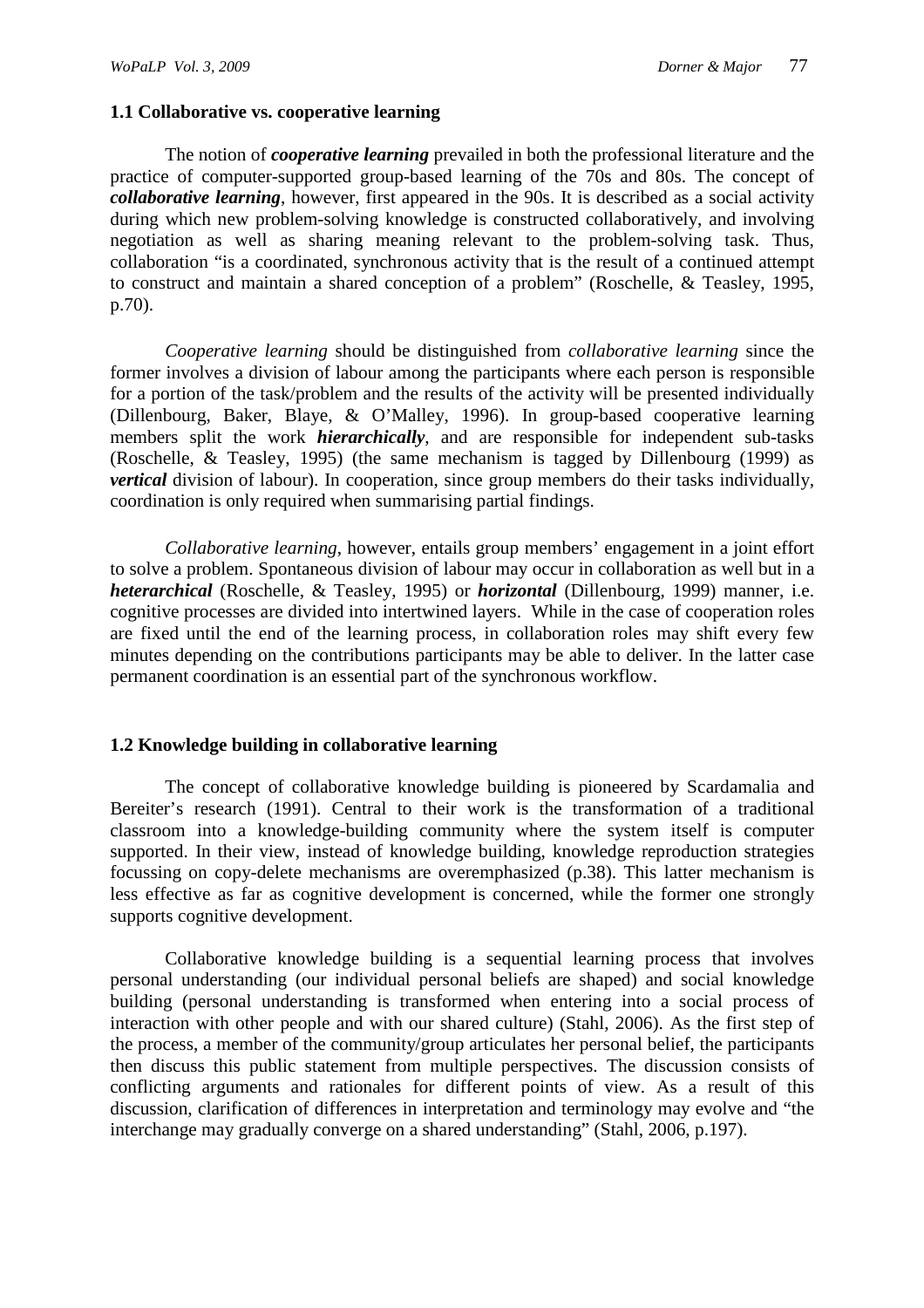## **1.1 Collaborative vs. cooperative learning**

The notion of *cooperative learning* prevailed in both the professional literature and the practice of computer-supported group-based learning of the 70s and 80s. The concept of *collaborative learning*, however, first appeared in the 90s. It is described as a social activity during which new problem-solving knowledge is constructed collaboratively, and involving negotiation as well as sharing meaning relevant to the problem-solving task. Thus, collaboration "is a coordinated, synchronous activity that is the result of a continued attempt to construct and maintain a shared conception of a problem" (Roschelle, & Teasley, 1995, p.70).

*Cooperative learning* should be distinguished from *collaborative learning* since the former involves a division of labour among the participants where each person is responsible for a portion of the task/problem and the results of the activity will be presented individually (Dillenbourg, Baker, Blaye, & O'Malley, 1996). In group-based cooperative learning members split the work *hierarchically*, and are responsible for independent sub-tasks (Roschelle, & Teasley, 1995) (the same mechanism is tagged by Dillenbourg (1999) as *vertical* division of labour). In cooperation, since group members do their tasks individually, coordination is only required when summarising partial findings.

*Collaborative learning*, however, entails group members' engagement in a joint effort to solve a problem. Spontaneous division of labour may occur in collaboration as well but in a *heterarchical* (Roschelle, & Teasley, 1995) or *horizontal* (Dillenbourg, 1999) manner, i.e. cognitive processes are divided into intertwined layers. While in the case of cooperation roles are fixed until the end of the learning process, in collaboration roles may shift every few minutes depending on the contributions participants may be able to deliver. In the latter case permanent coordination is an essential part of the synchronous workflow.

## **1.2 Knowledge building in collaborative learning**

The concept of collaborative knowledge building is pioneered by Scardamalia and Bereiter's research (1991). Central to their work is the transformation of a traditional classroom into a knowledge-building community where the system itself is computer supported. In their view, instead of knowledge building, knowledge reproduction strategies focussing on copy-delete mechanisms are overemphasized (p.38). This latter mechanism is less effective as far as cognitive development is concerned, while the former one strongly supports cognitive development.

Collaborative knowledge building is a sequential learning process that involves personal understanding (our individual personal beliefs are shaped) and social knowledge building (personal understanding is transformed when entering into a social process of interaction with other people and with our shared culture) (Stahl, 2006). As the first step of the process, a member of the community/group articulates her personal belief, the participants then discuss this public statement from multiple perspectives. The discussion consists of conflicting arguments and rationales for different points of view. As a result of this discussion, clarification of differences in interpretation and terminology may evolve and "the interchange may gradually converge on a shared understanding" (Stahl, 2006, p.197).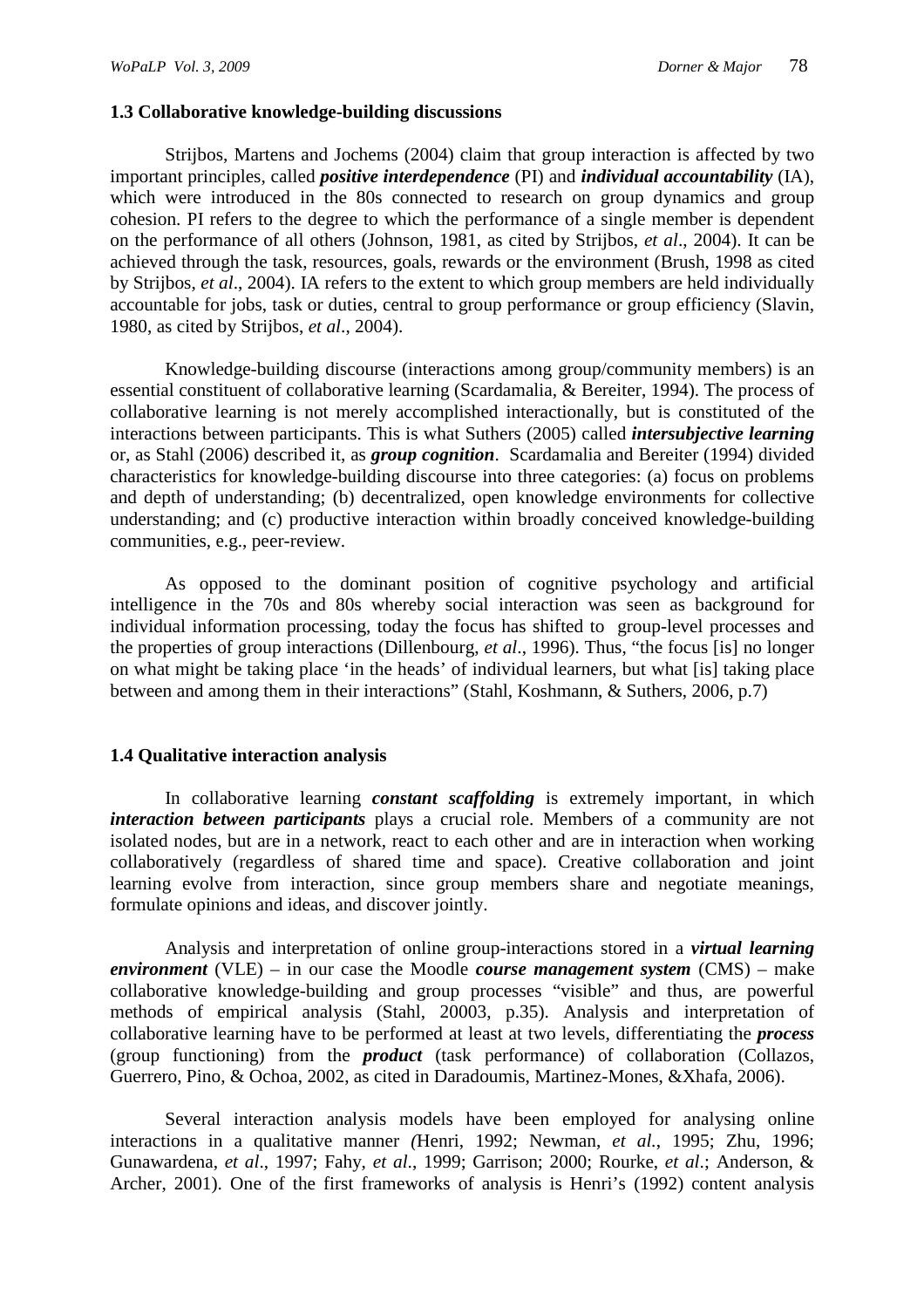## **1.3 Collaborative knowledge-building discussions**

Strijbos, Martens and Jochems (2004) claim that group interaction is affected by two important principles, called *positive interdependence* (PI) and *individual accountability* (IA), which were introduced in the 80s connected to research on group dynamics and group cohesion. PI refers to the degree to which the performance of a single member is dependent on the performance of all others (Johnson, 1981, as cited by Strijbos, *et al*., 2004). It can be achieved through the task, resources, goals, rewards or the environment (Brush, 1998 as cited by Strijbos, *et al*., 2004). IA refers to the extent to which group members are held individually accountable for jobs, task or duties, central to group performance or group efficiency (Slavin, 1980, as cited by Strijbos, *et al*., 2004).

Knowledge-building discourse (interactions among group/community members) is an essential constituent of collaborative learning (Scardamalia, & Bereiter, 1994). The process of collaborative learning is not merely accomplished interactionally, but is constituted of the interactions between participants. This is what Suthers (2005) called *intersubjective learning* or, as Stahl (2006) described it, as *group cognition*. Scardamalia and Bereiter (1994) divided characteristics for knowledge-building discourse into three categories: (a) focus on problems and depth of understanding; (b) decentralized, open knowledge environments for collective understanding; and (c) productive interaction within broadly conceived knowledge-building communities, e.g., peer-review.

As opposed to the dominant position of cognitive psychology and artificial intelligence in the 70s and 80s whereby social interaction was seen as background for individual information processing, today the focus has shifted to group-level processes and the properties of group interactions (Dillenbourg, *et al*., 1996). Thus, "the focus [is] no longer on what might be taking place 'in the heads' of individual learners, but what [is] taking place between and among them in their interactions" (Stahl, Koshmann, & Suthers, 2006, p.7)

## **1.4 Qualitative interaction analysis**

In collaborative learning *constant scaffolding* is extremely important, in which *interaction between participants* plays a crucial role. Members of a community are not isolated nodes, but are in a network, react to each other and are in interaction when working collaboratively (regardless of shared time and space). Creative collaboration and joint learning evolve from interaction, since group members share and negotiate meanings, formulate opinions and ideas, and discover jointly.

Analysis and interpretation of online group-interactions stored in a *virtual learning environment* (VLE) – in our case the Moodle *course management system* (CMS) – make collaborative knowledge-building and group processes "visible" and thus, are powerful methods of empirical analysis (Stahl, 20003, p.35). Analysis and interpretation of collaborative learning have to be performed at least at two levels, differentiating the *process* (group functioning) from the *product* (task performance) of collaboration (Collazos, Guerrero, Pino, & Ochoa, 2002, as cited in Daradoumis, Martinez-Mones, &Xhafa, 2006).

Several interaction analysis models have been employed for analysing online interactions in a qualitative manner *(*Henri, 1992; Newman, *et al.*, 1995; Zhu, 1996; Gunawardena, *et al*., 1997; Fahy, *et al*., 1999; Garrison; 2000; Rourke, *et al*.; Anderson, & Archer, 2001). One of the first frameworks of analysis is Henri's (1992) content analysis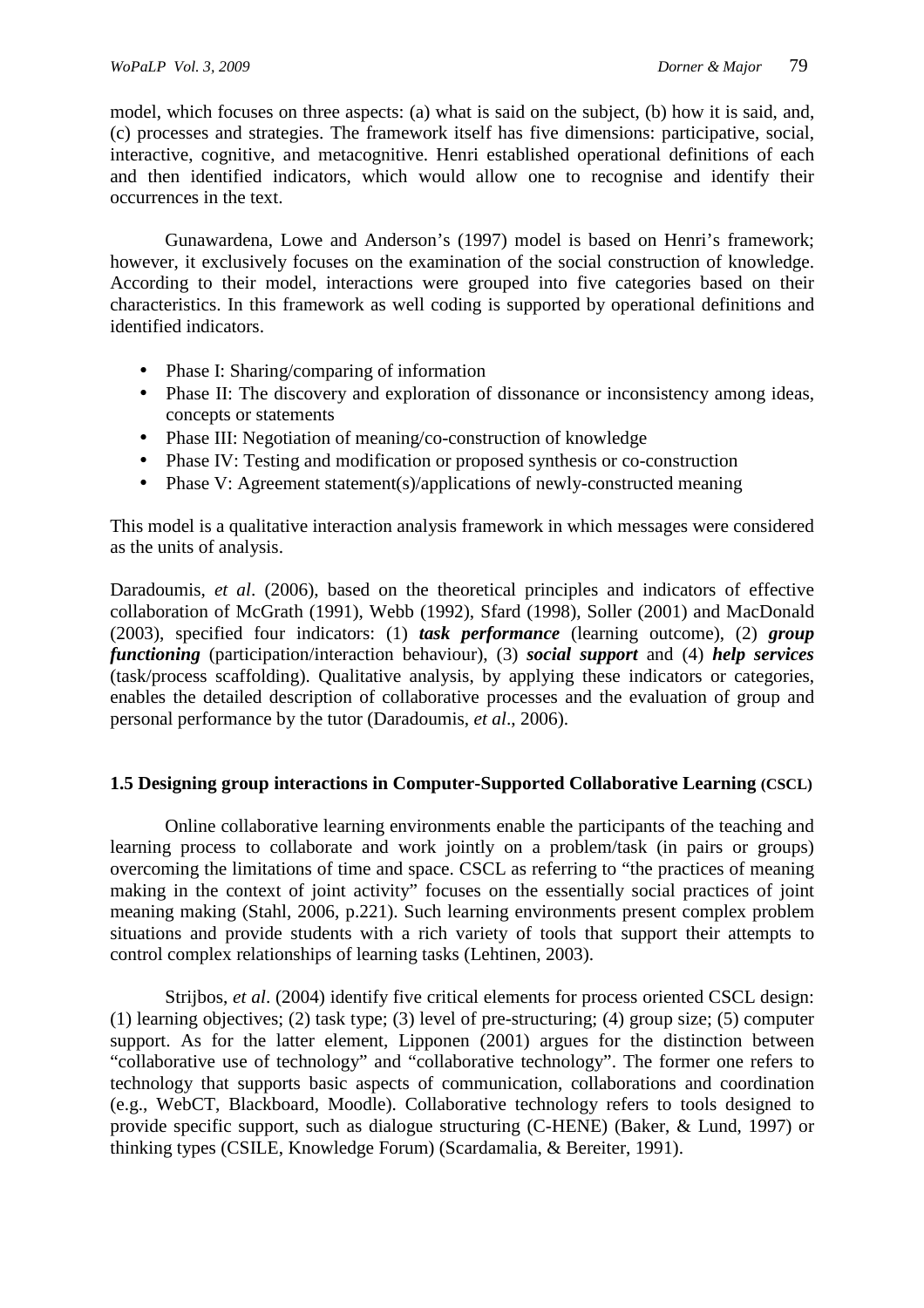model, which focuses on three aspects: (a) what is said on the subject, (b) how it is said, and, (c) processes and strategies. The framework itself has five dimensions: participative, social, interactive, cognitive, and metacognitive. Henri established operational definitions of each and then identified indicators, which would allow one to recognise and identify their occurrences in the text.

Gunawardena, Lowe and Anderson's (1997) model is based on Henri's framework; however, it exclusively focuses on the examination of the social construction of knowledge. According to their model, interactions were grouped into five categories based on their characteristics. In this framework as well coding is supported by operational definitions and identified indicators.

- Phase I: Sharing/comparing of information
- Phase II: The discovery and exploration of dissonance or inconsistency among ideas, concepts or statements
- Phase III: Negotiation of meaning/co-construction of knowledge
- Phase IV: Testing and modification or proposed synthesis or co-construction
- Phase V: Agreement statement(s)/applications of newly-constructed meaning

This model is a qualitative interaction analysis framework in which messages were considered as the units of analysis.

Daradoumis, *et al*. (2006), based on the theoretical principles and indicators of effective collaboration of McGrath (1991), Webb (1992), Sfard (1998), Soller (2001) and MacDonald (2003), specified four indicators: (1) *task performance* (learning outcome), (2) *group functioning* (participation/interaction behaviour), (3) *social support* and (4) *help services* (task/process scaffolding). Qualitative analysis, by applying these indicators or categories, enables the detailed description of collaborative processes and the evaluation of group and personal performance by the tutor (Daradoumis, *et al*., 2006).

# **1.5 Designing group interactions in Computer-Supported Collaborative Learning (CSCL)**

Online collaborative learning environments enable the participants of the teaching and learning process to collaborate and work jointly on a problem/task (in pairs or groups) overcoming the limitations of time and space. CSCL as referring to "the practices of meaning making in the context of joint activity" focuses on the essentially social practices of joint meaning making (Stahl, 2006, p.221). Such learning environments present complex problem situations and provide students with a rich variety of tools that support their attempts to control complex relationships of learning tasks (Lehtinen, 2003).

Strijbos, *et al*. (2004) identify five critical elements for process oriented CSCL design: (1) learning objectives; (2) task type; (3) level of pre-structuring; (4) group size; (5) computer support. As for the latter element, Lipponen (2001) argues for the distinction between "collaborative use of technology" and "collaborative technology". The former one refers to technology that supports basic aspects of communication, collaborations and coordination (e.g., WebCT, Blackboard, Moodle). Collaborative technology refers to tools designed to provide specific support, such as dialogue structuring (C-HENE) (Baker, & Lund, 1997) or thinking types (CSILE, Knowledge Forum) (Scardamalia, & Bereiter, 1991).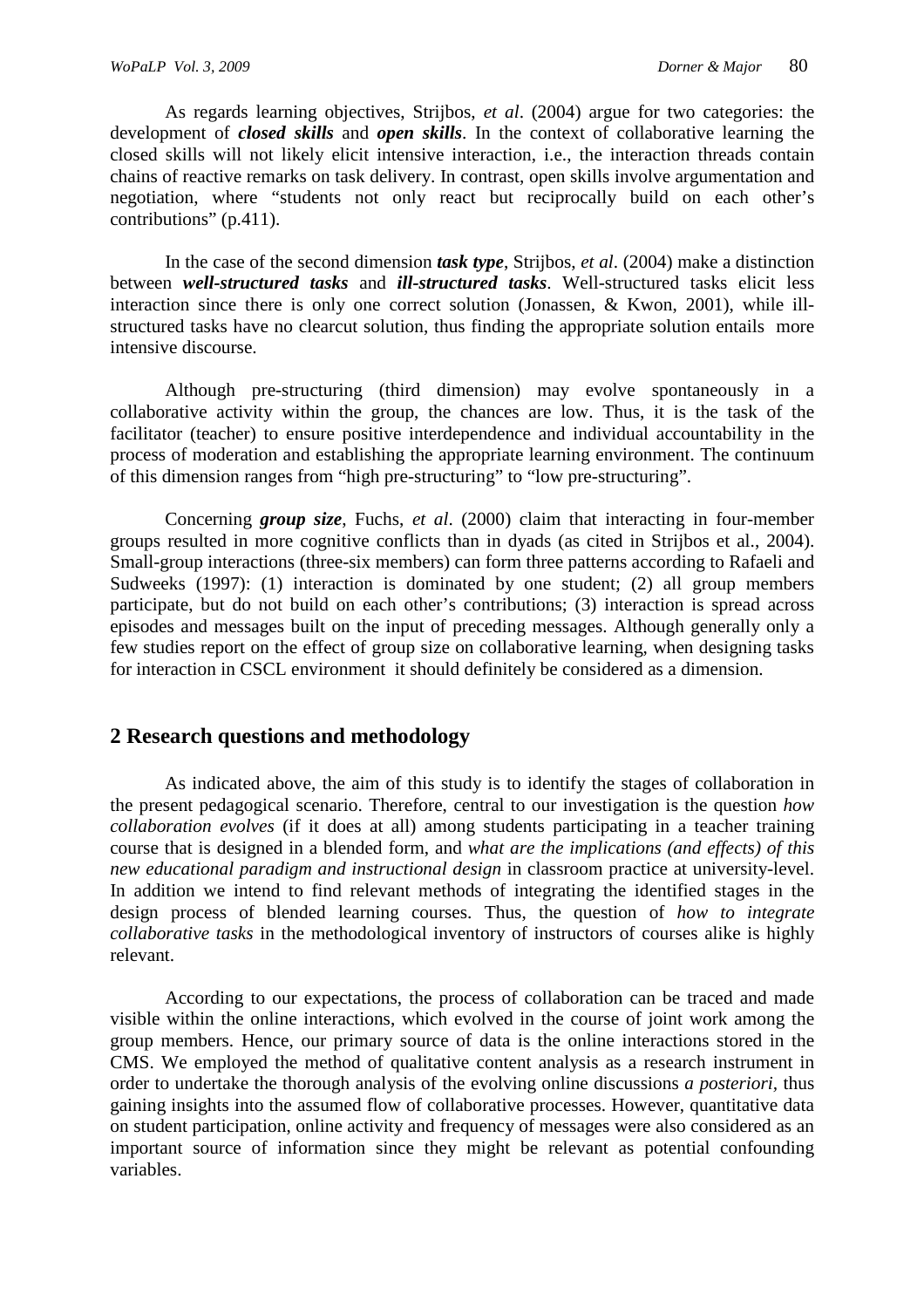As regards learning objectives, Strijbos, *et al*. (2004) argue for two categories: the development of *closed skills* and *open skills*. In the context of collaborative learning the closed skills will not likely elicit intensive interaction, i.e., the interaction threads contain chains of reactive remarks on task delivery. In contrast, open skills involve argumentation and negotiation, where "students not only react but reciprocally build on each other's contributions" (p.411).

In the case of the second dimension *task type*, Strijbos, *et al*. (2004) make a distinction between *well-structured tasks* and *ill-structured tasks*. Well-structured tasks elicit less interaction since there is only one correct solution (Jonassen, & Kwon, 2001), while illstructured tasks have no clearcut solution, thus finding the appropriate solution entails more intensive discourse.

Although pre-structuring (third dimension) may evolve spontaneously in a collaborative activity within the group, the chances are low. Thus, it is the task of the facilitator (teacher) to ensure positive interdependence and individual accountability in the process of moderation and establishing the appropriate learning environment. The continuum of this dimension ranges from "high pre-structuring" to "low pre-structuring".

Concerning *group size*, Fuchs, *et al*. (2000) claim that interacting in four-member groups resulted in more cognitive conflicts than in dyads (as cited in Strijbos et al., 2004). Small-group interactions (three-six members) can form three patterns according to Rafaeli and Sudweeks (1997): (1) interaction is dominated by one student; (2) all group members participate, but do not build on each other's contributions; (3) interaction is spread across episodes and messages built on the input of preceding messages. Although generally only a few studies report on the effect of group size on collaborative learning, when designing tasks for interaction in CSCL environment it should definitely be considered as a dimension.

# **2 Research questions and methodology**

As indicated above, the aim of this study is to identify the stages of collaboration in the present pedagogical scenario. Therefore, central to our investigation is the question *how collaboration evolves* (if it does at all) among students participating in a teacher training course that is designed in a blended form, and *what are the implications (and effects) of this new educational paradigm and instructional design* in classroom practice at university-level. In addition we intend to find relevant methods of integrating the identified stages in the design process of blended learning courses. Thus, the question of *how to integrate collaborative tasks* in the methodological inventory of instructors of courses alike is highly relevant.

According to our expectations, the process of collaboration can be traced and made visible within the online interactions, which evolved in the course of joint work among the group members. Hence, our primary source of data is the online interactions stored in the CMS. We employed the method of qualitative content analysis as a research instrument in order to undertake the thorough analysis of the evolving online discussions *a posteriori,* thus gaining insights into the assumed flow of collaborative processes. However, quantitative data on student participation, online activity and frequency of messages were also considered as an important source of information since they might be relevant as potential confounding variables.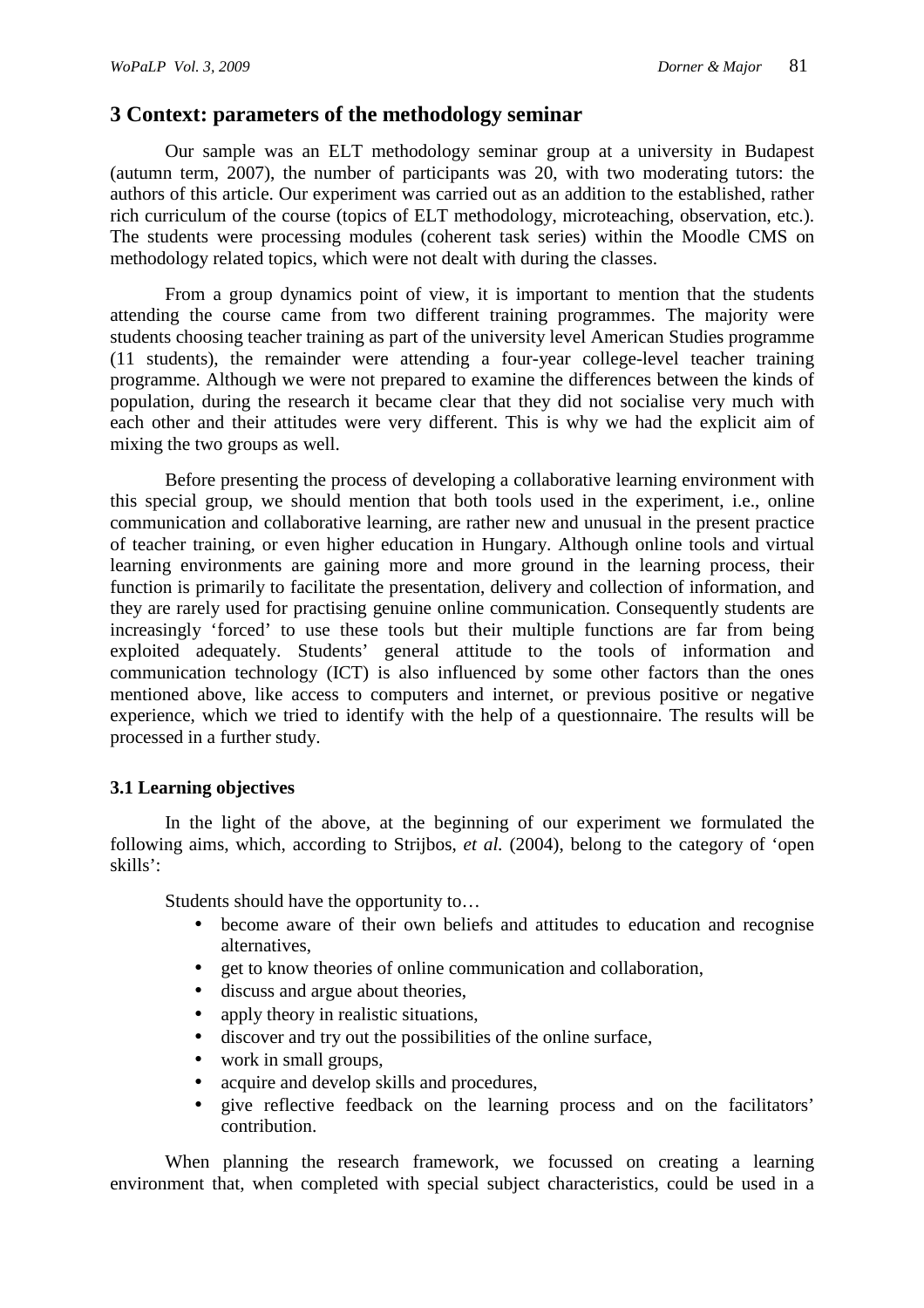# **3 Context: parameters of the methodology seminar**

Our sample was an ELT methodology seminar group at a university in Budapest (autumn term, 2007), the number of participants was 20, with two moderating tutors: the authors of this article. Our experiment was carried out as an addition to the established, rather rich curriculum of the course (topics of ELT methodology, microteaching, observation, etc.). The students were processing modules (coherent task series) within the Moodle CMS on methodology related topics, which were not dealt with during the classes.

From a group dynamics point of view, it is important to mention that the students attending the course came from two different training programmes. The majority were students choosing teacher training as part of the university level American Studies programme (11 students), the remainder were attending a four-year college-level teacher training programme. Although we were not prepared to examine the differences between the kinds of population, during the research it became clear that they did not socialise very much with each other and their attitudes were very different. This is why we had the explicit aim of mixing the two groups as well.

Before presenting the process of developing a collaborative learning environment with this special group, we should mention that both tools used in the experiment, i.e., online communication and collaborative learning, are rather new and unusual in the present practice of teacher training, or even higher education in Hungary. Although online tools and virtual learning environments are gaining more and more ground in the learning process, their function is primarily to facilitate the presentation, delivery and collection of information, and they are rarely used for practising genuine online communication. Consequently students are increasingly 'forced' to use these tools but their multiple functions are far from being exploited adequately. Students' general attitude to the tools of information and communication technology (ICT) is also influenced by some other factors than the ones mentioned above, like access to computers and internet, or previous positive or negative experience, which we tried to identify with the help of a questionnaire. The results will be processed in a further study.

## **3.1 Learning objectives**

In the light of the above, at the beginning of our experiment we formulated the following aims, which, according to Strijbos, *et al.* (2004), belong to the category of 'open skills':

Students should have the opportunity to…

- become aware of their own beliefs and attitudes to education and recognise alternatives,
- get to know theories of online communication and collaboration,
- discuss and argue about theories,
- apply theory in realistic situations,
- discover and try out the possibilities of the online surface,
- work in small groups,
- acquire and develop skills and procedures,
- give reflective feedback on the learning process and on the facilitators' contribution.

When planning the research framework, we focussed on creating a learning environment that, when completed with special subject characteristics, could be used in a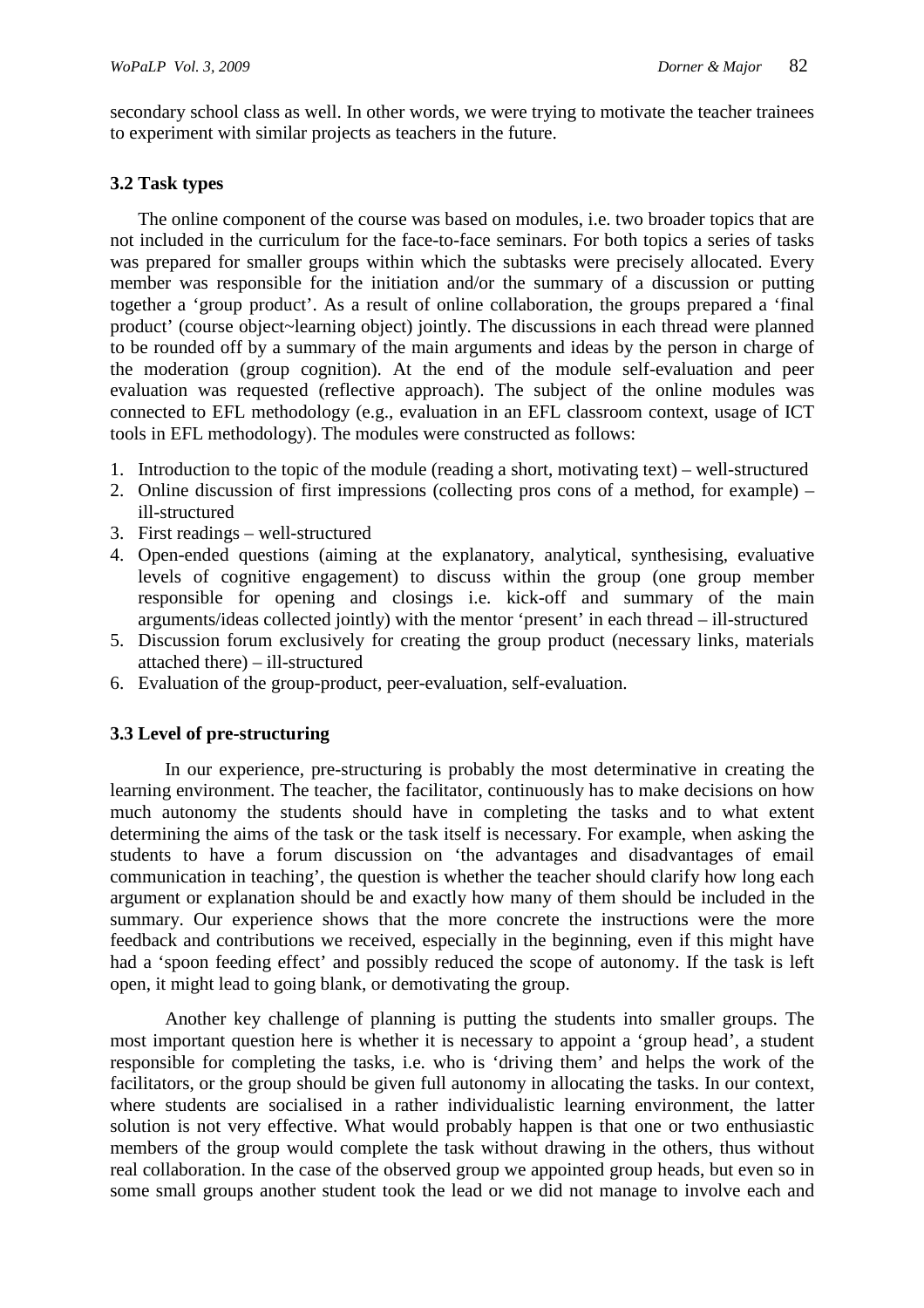secondary school class as well. In other words, we were trying to motivate the teacher trainees to experiment with similar projects as teachers in the future.

## **3.2 Task types**

The online component of the course was based on modules, i.e. two broader topics that are not included in the curriculum for the face-to-face seminars. For both topics a series of tasks was prepared for smaller groups within which the subtasks were precisely allocated. Every member was responsible for the initiation and/or the summary of a discussion or putting together a 'group product'. As a result of online collaboration, the groups prepared a 'final product' (course object~learning object) jointly. The discussions in each thread were planned to be rounded off by a summary of the main arguments and ideas by the person in charge of the moderation (group cognition). At the end of the module self-evaluation and peer evaluation was requested (reflective approach). The subject of the online modules was connected to EFL methodology (e.g., evaluation in an EFL classroom context, usage of ICT tools in EFL methodology). The modules were constructed as follows:

- 1. Introduction to the topic of the module (reading a short, motivating text) well-structured
- 2. Online discussion of first impressions (collecting pros cons of a method, for example) ill-structured
- 3. First readings well-structured
- 4. Open-ended questions (aiming at the explanatory, analytical, synthesising, evaluative levels of cognitive engagement) to discuss within the group (one group member responsible for opening and closings i.e. kick-off and summary of the main arguments/ideas collected jointly) with the mentor 'present' in each thread – ill-structured
- 5. Discussion forum exclusively for creating the group product (necessary links, materials attached there) – ill-structured
- 6. Evaluation of the group-product, peer-evaluation, self-evaluation.

# **3.3 Level of pre-structuring**

In our experience, pre-structuring is probably the most determinative in creating the learning environment. The teacher, the facilitator, continuously has to make decisions on how much autonomy the students should have in completing the tasks and to what extent determining the aims of the task or the task itself is necessary. For example, when asking the students to have a forum discussion on 'the advantages and disadvantages of email communication in teaching', the question is whether the teacher should clarify how long each argument or explanation should be and exactly how many of them should be included in the summary. Our experience shows that the more concrete the instructions were the more feedback and contributions we received, especially in the beginning, even if this might have had a 'spoon feeding effect' and possibly reduced the scope of autonomy. If the task is left open, it might lead to going blank, or demotivating the group.

Another key challenge of planning is putting the students into smaller groups. The most important question here is whether it is necessary to appoint a 'group head', a student responsible for completing the tasks, i.e. who is 'driving them' and helps the work of the facilitators, or the group should be given full autonomy in allocating the tasks. In our context, where students are socialised in a rather individualistic learning environment, the latter solution is not very effective. What would probably happen is that one or two enthusiastic members of the group would complete the task without drawing in the others, thus without real collaboration. In the case of the observed group we appointed group heads, but even so in some small groups another student took the lead or we did not manage to involve each and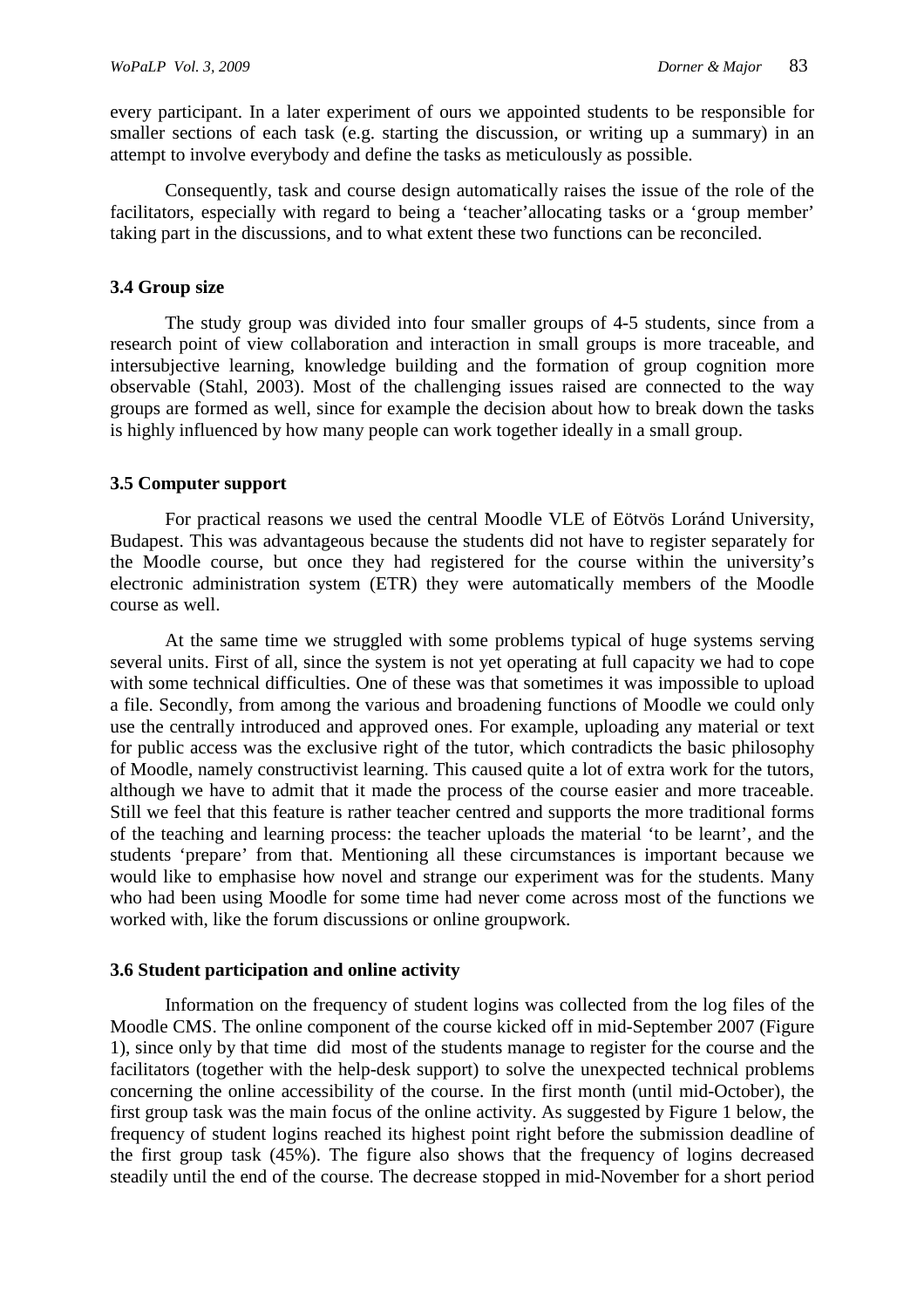every participant. In a later experiment of ours we appointed students to be responsible for smaller sections of each task (e.g. starting the discussion, or writing up a summary) in an attempt to involve everybody and define the tasks as meticulously as possible.

Consequently, task and course design automatically raises the issue of the role of the facilitators, especially with regard to being a 'teacher'allocating tasks or a 'group member' taking part in the discussions, and to what extent these two functions can be reconciled.

#### **3.4 Group size**

The study group was divided into four smaller groups of 4-5 students, since from a research point of view collaboration and interaction in small groups is more traceable, and intersubjective learning, knowledge building and the formation of group cognition more observable (Stahl, 2003). Most of the challenging issues raised are connected to the way groups are formed as well, since for example the decision about how to break down the tasks is highly influenced by how many people can work together ideally in a small group.

#### **3.5 Computer support**

For practical reasons we used the central Moodle VLE of Eötvös Loránd University, Budapest. This was advantageous because the students did not have to register separately for the Moodle course, but once they had registered for the course within the university's electronic administration system (ETR) they were automatically members of the Moodle course as well.

At the same time we struggled with some problems typical of huge systems serving several units. First of all, since the system is not yet operating at full capacity we had to cope with some technical difficulties. One of these was that sometimes it was impossible to upload a file. Secondly, from among the various and broadening functions of Moodle we could only use the centrally introduced and approved ones. For example, uploading any material or text for public access was the exclusive right of the tutor, which contradicts the basic philosophy of Moodle, namely constructivist learning. This caused quite a lot of extra work for the tutors, although we have to admit that it made the process of the course easier and more traceable. Still we feel that this feature is rather teacher centred and supports the more traditional forms of the teaching and learning process: the teacher uploads the material 'to be learnt', and the students 'prepare' from that. Mentioning all these circumstances is important because we would like to emphasise how novel and strange our experiment was for the students. Many who had been using Moodle for some time had never come across most of the functions we worked with, like the forum discussions or online groupwork.

#### **3.6 Student participation and online activity**

Information on the frequency of student logins was collected from the log files of the Moodle CMS. The online component of the course kicked off in mid-September 2007 (Figure 1), since only by that time did most of the students manage to register for the course and the facilitators (together with the help-desk support) to solve the unexpected technical problems concerning the online accessibility of the course. In the first month (until mid-October), the first group task was the main focus of the online activity. As suggested by Figure 1 below, the frequency of student logins reached its highest point right before the submission deadline of the first group task (45%). The figure also shows that the frequency of logins decreased steadily until the end of the course. The decrease stopped in mid-November for a short period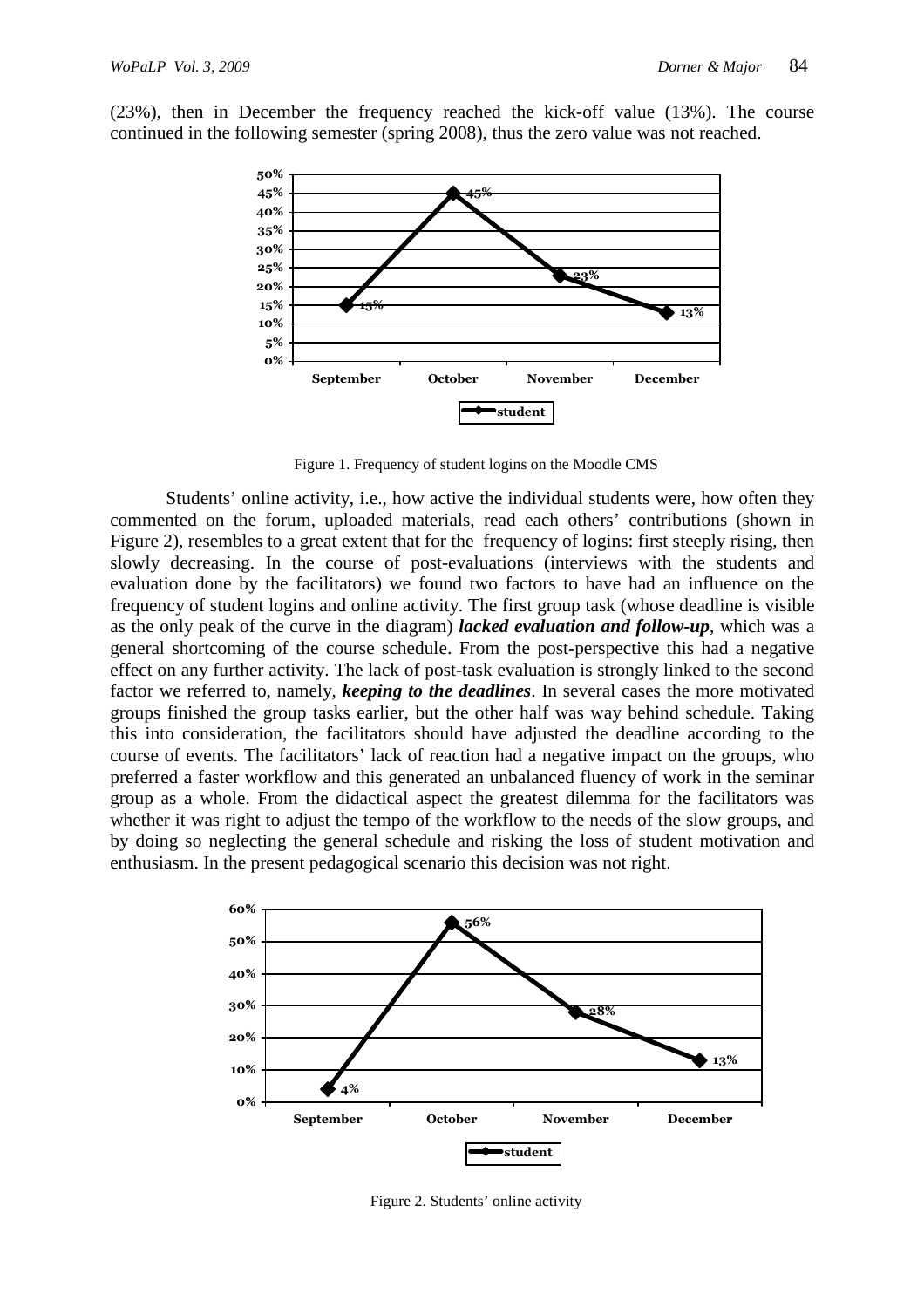

(23%), then in December the frequency reached the kick-off value (13%). The course continued in the following semester (spring 2008), thus the zero value was not reached.

Figure 1. Frequency of student logins on the Moodle CMS

Students' online activity, i.e., how active the individual students were, how often they commented on the forum, uploaded materials, read each others' contributions (shown in Figure 2), resembles to a great extent that for the frequency of logins: first steeply rising, then slowly decreasing. In the course of post-evaluations (interviews with the students and evaluation done by the facilitators) we found two factors to have had an influence on the frequency of student logins and online activity. The first group task (whose deadline is visible as the only peak of the curve in the diagram) *lacked evaluation and follow-up*, which was a general shortcoming of the course schedule. From the post-perspective this had a negative effect on any further activity. The lack of post-task evaluation is strongly linked to the second factor we referred to, namely, *keeping to the deadlines*. In several cases the more motivated groups finished the group tasks earlier, but the other half was way behind schedule. Taking this into consideration, the facilitators should have adjusted the deadline according to the course of events. The facilitators' lack of reaction had a negative impact on the groups, who preferred a faster workflow and this generated an unbalanced fluency of work in the seminar group as a whole. From the didactical aspect the greatest dilemma for the facilitators was whether it was right to adjust the tempo of the workflow to the needs of the slow groups, and by doing so neglecting the general schedule and risking the loss of student motivation and enthusiasm. In the present pedagogical scenario this decision was not right.



Figure 2. Students' online activity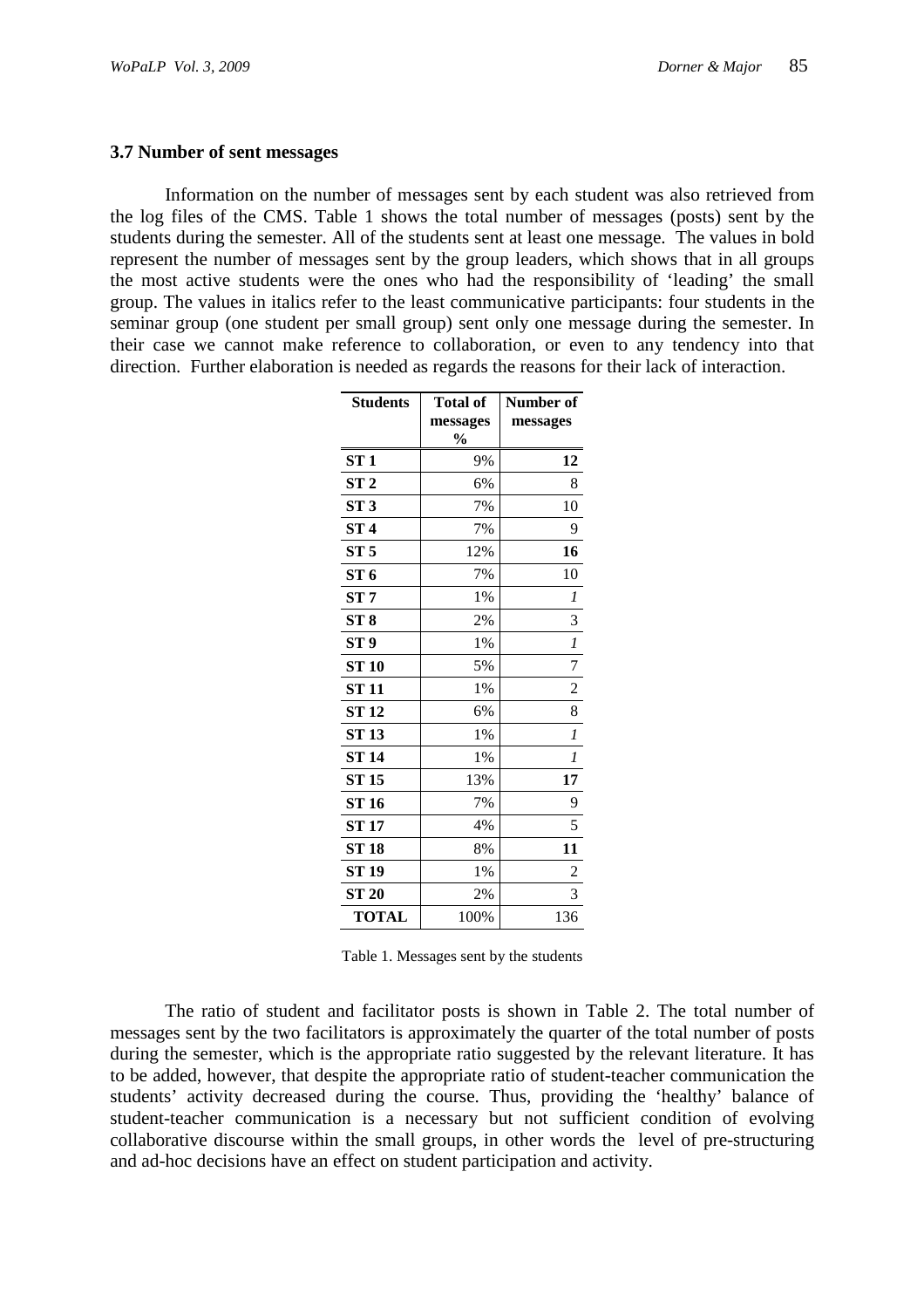#### **3.7 Number of sent messages**

Information on the number of messages sent by each student was also retrieved from the log files of the CMS. Table 1 shows the total number of messages (posts) sent by the students during the semester. All of the students sent at least one message. The values in bold represent the number of messages sent by the group leaders, which shows that in all groups the most active students were the ones who had the responsibility of 'leading' the small group. The values in italics refer to the least communicative participants: four students in the seminar group (one student per small group) sent only one message during the semester. In their case we cannot make reference to collaboration, or even to any tendency into that direction. Further elaboration is needed as regards the reasons for their lack of interaction.

| <b>Students</b> | <b>Total of</b><br>messages<br>$\frac{0}{0}$ | Number of<br>messages |
|-----------------|----------------------------------------------|-----------------------|
| ST1             | 9%                                           | 12                    |
| ST <sub>2</sub> | 6%                                           | 8                     |
| ST <sub>3</sub> | 7%                                           | 10                    |
| ST <sub>4</sub> | 7%                                           | 9                     |
| ST <sub>5</sub> | 12%                                          | 16                    |
| ST <sub>6</sub> | 7%                                           | 10                    |
| ST 7            | 1%                                           | 1                     |
| ST <sub>8</sub> | 2%                                           | 3                     |
| ST <sub>9</sub> | 1%                                           | $\boldsymbol{l}$      |
| <b>ST 10</b>    | 5%                                           | 7                     |
| ST 11           | 1%                                           | $\overline{c}$        |
| <b>ST 12</b>    | 6%                                           | 8                     |
| <b>ST 13</b>    | 1%                                           | $\mathcal{I}$         |
| <b>ST 14</b>    | 1%                                           | $\boldsymbol{l}$      |
| <b>ST 15</b>    | 13%                                          | 17                    |
| <b>ST 16</b>    | 7%                                           | 9                     |
| <b>ST 17</b>    | 4%                                           | 5                     |
| <b>ST 18</b>    | 8%                                           | 11                    |
| ST 19           | 1%                                           | 2                     |
| <b>ST 20</b>    | 2%                                           | 3                     |
| <b>TOTAL</b>    | 100%                                         | 136                   |

Table 1. Messages sent by the students

The ratio of student and facilitator posts is shown in Table 2. The total number of messages sent by the two facilitators is approximately the quarter of the total number of posts during the semester, which is the appropriate ratio suggested by the relevant literature. It has to be added, however, that despite the appropriate ratio of student-teacher communication the students' activity decreased during the course. Thus, providing the 'healthy' balance of student-teacher communication is a necessary but not sufficient condition of evolving collaborative discourse within the small groups, in other words the level of pre-structuring and ad-hoc decisions have an effect on student participation and activity.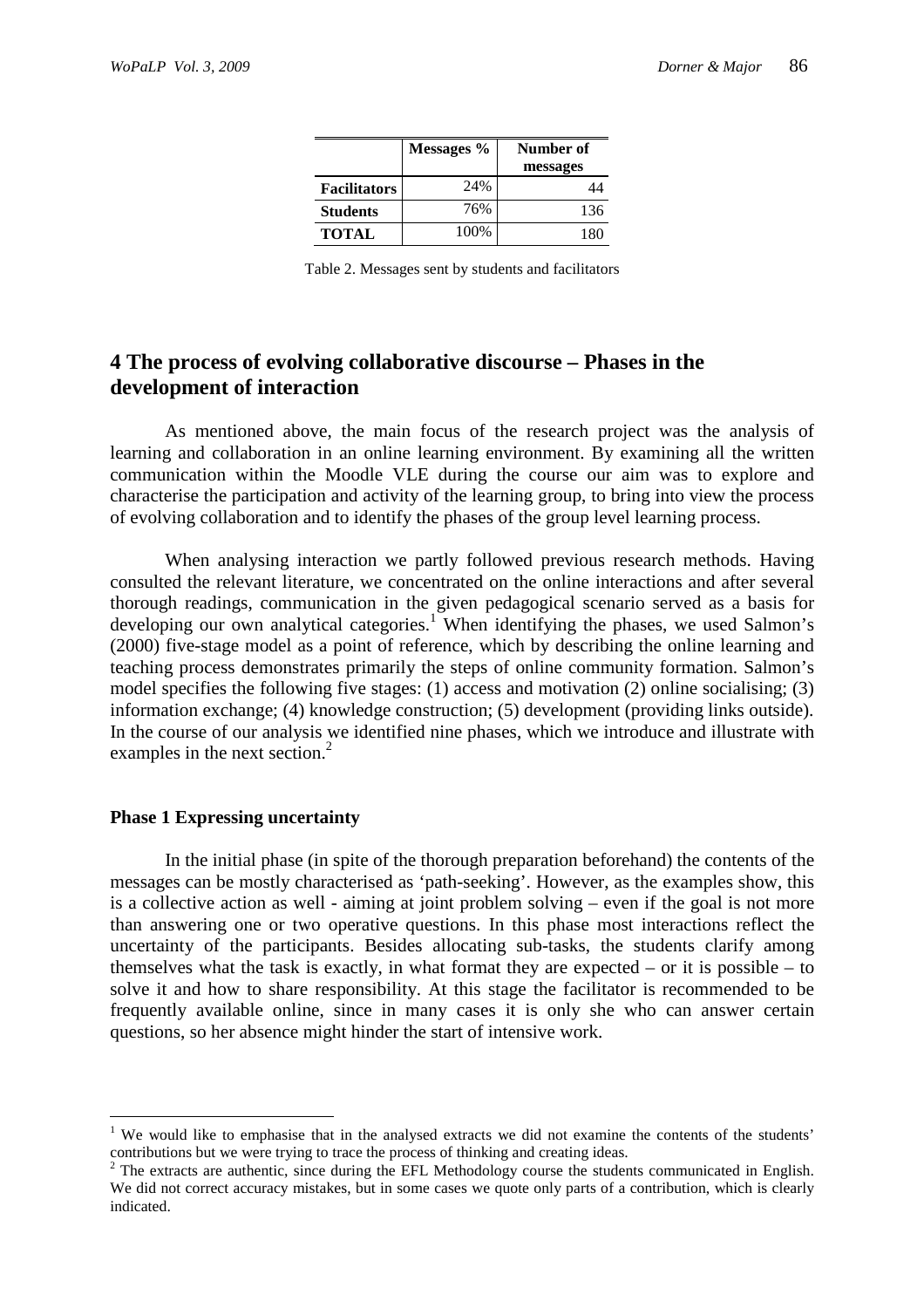|                     | Messages % | Number of |
|---------------------|------------|-----------|
|                     |            | messages  |
| <b>Facilitators</b> | 24%        |           |
| <b>Students</b>     | 76%        | 136       |
| TOTAL               | 100%       |           |

Table 2. Messages sent by students and facilitators

# **4 The process of evolving collaborative discourse – Phases in the development of interaction**

As mentioned above, the main focus of the research project was the analysis of learning and collaboration in an online learning environment. By examining all the written communication within the Moodle VLE during the course our aim was to explore and characterise the participation and activity of the learning group, to bring into view the process of evolving collaboration and to identify the phases of the group level learning process.

When analysing interaction we partly followed previous research methods. Having consulted the relevant literature, we concentrated on the online interactions and after several thorough readings, communication in the given pedagogical scenario served as a basis for developing our own analytical categories.<sup>1</sup> When identifying the phases, we used Salmon's (2000) five-stage model as a point of reference, which by describing the online learning and teaching process demonstrates primarily the steps of online community formation. Salmon's model specifies the following five stages: (1) access and motivation (2) online socialising; (3) information exchange; (4) knowledge construction; (5) development (providing links outside). In the course of our analysis we identified nine phases, which we introduce and illustrate with examples in the next section.<sup>2</sup>

## **Phase 1 Expressing uncertainty**

 $\overline{a}$ 

In the initial phase (in spite of the thorough preparation beforehand) the contents of the messages can be mostly characterised as 'path-seeking'. However, as the examples show, this is a collective action as well - aiming at joint problem solving – even if the goal is not more than answering one or two operative questions. In this phase most interactions reflect the uncertainty of the participants. Besides allocating sub-tasks, the students clarify among themselves what the task is exactly, in what format they are expected – or it is possible – to solve it and how to share responsibility. At this stage the facilitator is recommended to be frequently available online, since in many cases it is only she who can answer certain questions, so her absence might hinder the start of intensive work.

<sup>&</sup>lt;sup>1</sup> We would like to emphasise that in the analysed extracts we did not examine the contents of the students' contributions but we were trying to trace the process of thinking and creating ideas.

 $2$  The extracts are authentic, since during the EFL Methodology course the students communicated in English. We did not correct accuracy mistakes, but in some cases we quote only parts of a contribution, which is clearly indicated.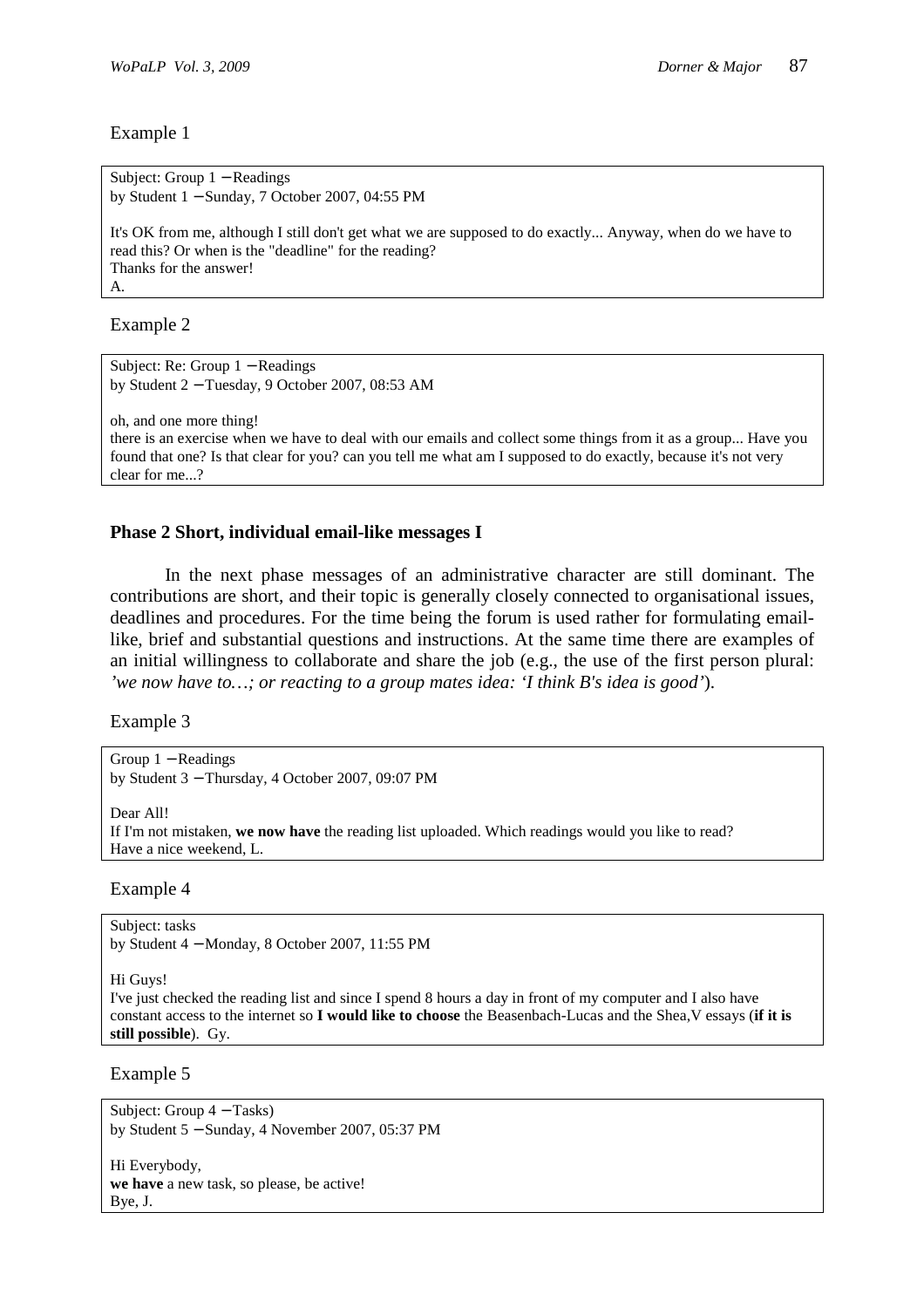```
Subject: Group 1 − Readings 
by Student 1 − Sunday, 7 October 2007, 04:55 PM 
It's OK from me, although I still don't get what we are supposed to do exactly... Anyway, when do we have to 
read this? Or when is the "deadline" for the reading? 
Thanks for the answer! 
A.
```
Example 2

```
Subject: Re: Group 1 − Readings 
by Student 2 − Tuesday, 9 October 2007, 08:53 AM 
oh, and one more thing! 
there is an exercise when we have to deal with our emails and collect some things from it as a group... Have you 
found that one? Is that clear for you? can you tell me what am I supposed to do exactly, because it's not very 
clear for me...?
```
# **Phase 2 Short, individual email-like messages I**

In the next phase messages of an administrative character are still dominant. The contributions are short, and their topic is generally closely connected to organisational issues, deadlines and procedures. For the time being the forum is used rather for formulating emaillike, brief and substantial questions and instructions. At the same time there are examples of an initial willingness to collaborate and share the job (e.g., the use of the first person plural: *'we now have to…; or reacting to a group mates idea: 'I think B's idea is good'*).

Example 3

Group 1 − Readings by Student 3 − Thursday, 4 October 2007, 09:07 PM

Dear All! If I'm not mistaken, **we now have** the reading list uploaded. Which readings would you like to read? Have a nice weekend, L.

Example 4

Subject: tasks by Student 4 − Monday, 8 October 2007, 11:55 PM

Hi Guys!

I've just checked the reading list and since I spend 8 hours a day in front of my computer and I also have constant access to the internet so **I would like to choose** the Beasenbach-Lucas and the Shea,V essays (**if it is still possible**). Gy.

Example 5

Subject: Group 4 − Tasks) by Student 5 − Sunday, 4 November 2007, 05:37 PM

Hi Everybody, **we have** a new task, so please, be active! Bye, J.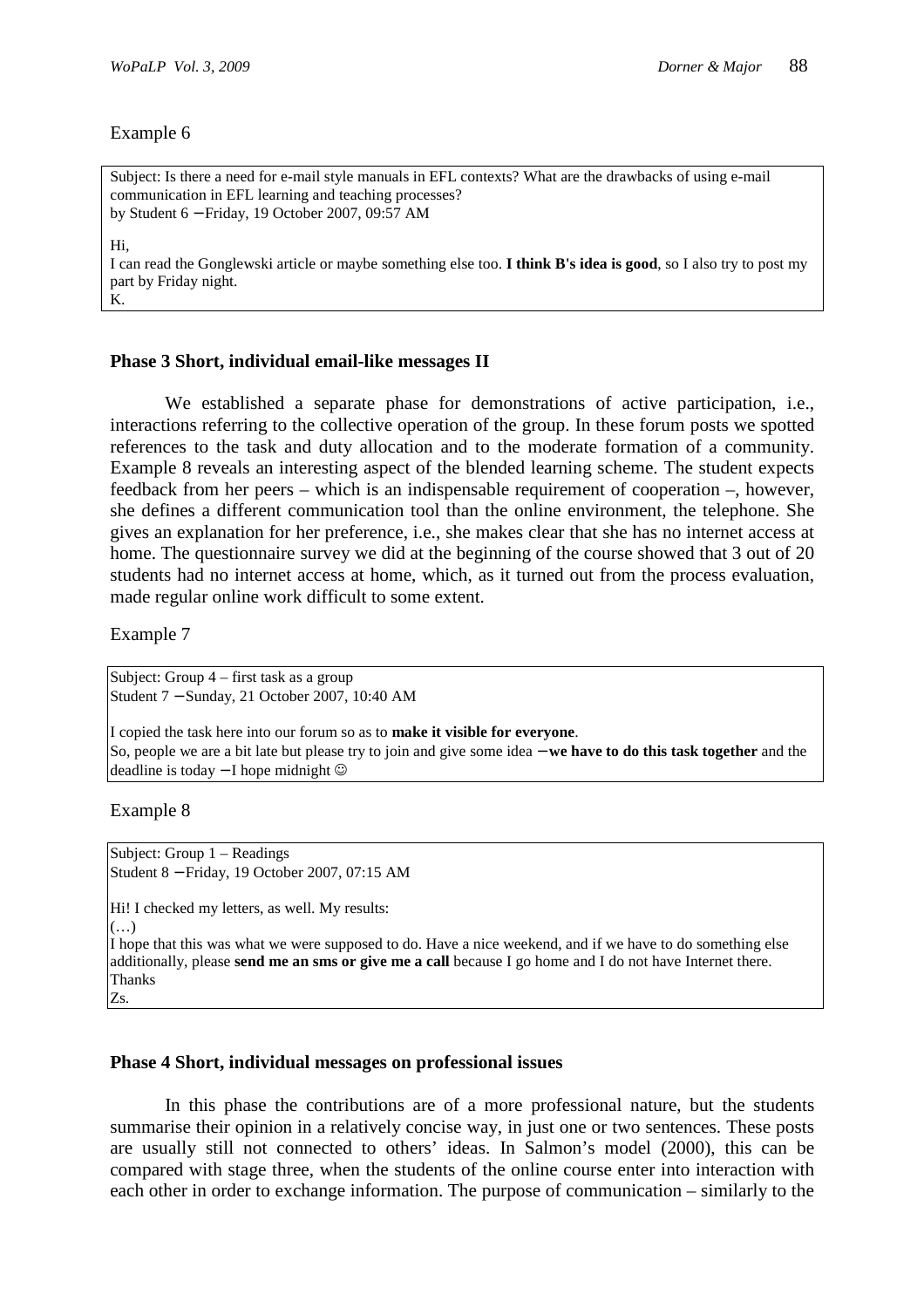Subject: Is there a need for e-mail style manuals in EFL contexts? What are the drawbacks of using e-mail communication in EFL learning and teaching processes? by Student 6 − Friday, 19 October 2007, 09:57 AM Hi, I can read the Gonglewski article or maybe something else too. **I think B's idea is good**, so I also try to post my part by Friday night. K.

#### **Phase 3 Short, individual email-like messages II**

We established a separate phase for demonstrations of active participation, i.e., interactions referring to the collective operation of the group. In these forum posts we spotted references to the task and duty allocation and to the moderate formation of a community. Example 8 reveals an interesting aspect of the blended learning scheme. The student expects feedback from her peers – which is an indispensable requirement of cooperation –, however, she defines a different communication tool than the online environment, the telephone. She gives an explanation for her preference, i.e., she makes clear that she has no internet access at home. The questionnaire survey we did at the beginning of the course showed that 3 out of 20 students had no internet access at home, which, as it turned out from the process evaluation, made regular online work difficult to some extent.

Example 7

Subject: Group 4 – first task as a group Student 7 − Sunday, 21 October 2007, 10:40 AM

I copied the task here into our forum so as to **make it visible for everyone**. So, people we are a bit late but please try to join and give some idea − **we have to do this task together** and the deadline is today − I hope midnight ☺

Example 8

Subject: Group 1 – Readings Student 8 − Friday, 19 October 2007, 07:15 AM

Hi! I checked my letters, as well. My results: (…)

I hope that this was what we were supposed to do. Have a nice weekend, and if we have to do something else additionally, please **send me an sms or give me a call** because I go home and I do not have Internet there. Thanks Zs.

#### **Phase 4 Short, individual messages on professional issues**

In this phase the contributions are of a more professional nature, but the students summarise their opinion in a relatively concise way, in just one or two sentences. These posts are usually still not connected to others' ideas. In Salmon's model (2000), this can be compared with stage three, when the students of the online course enter into interaction with each other in order to exchange information. The purpose of communication – similarly to the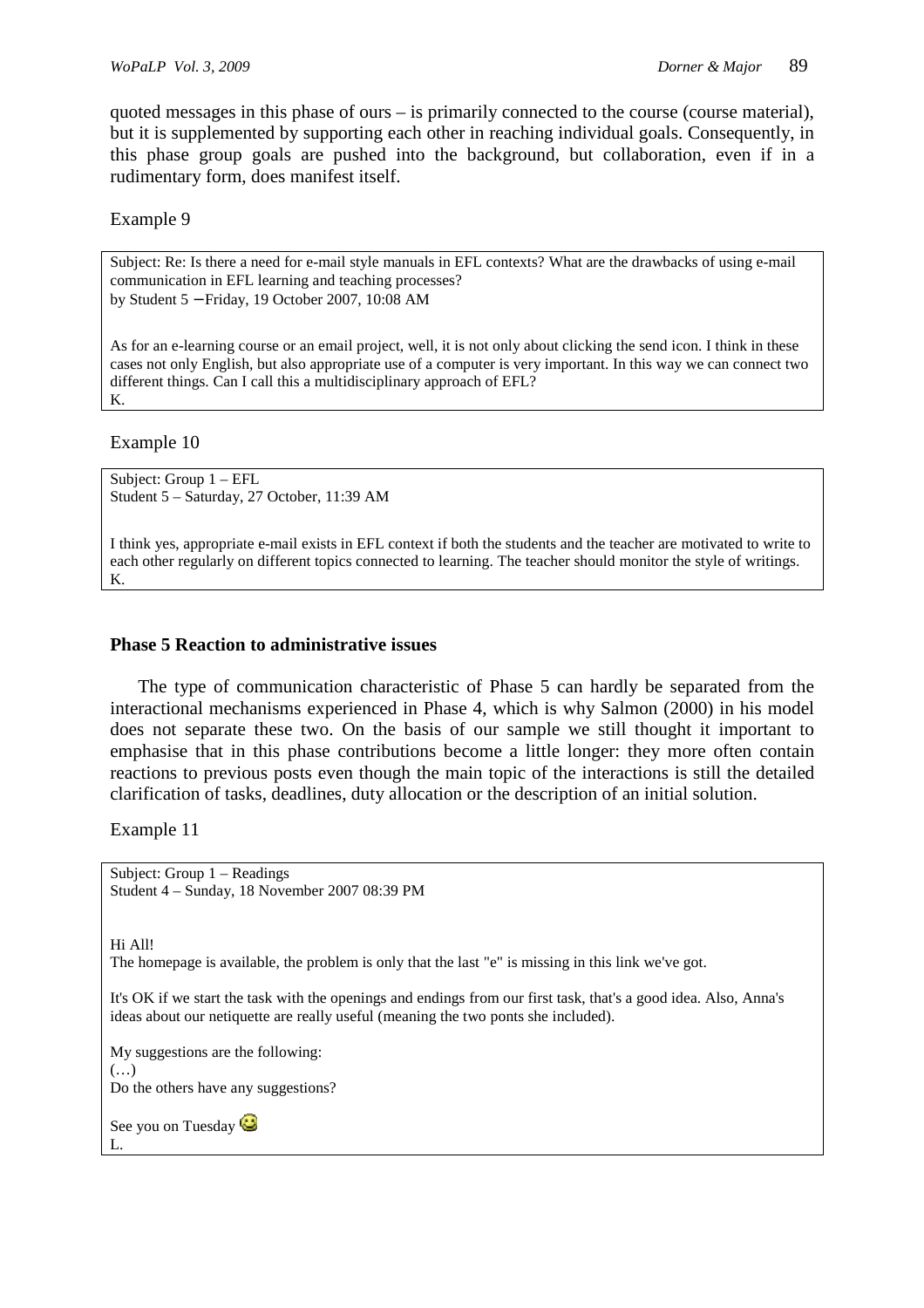quoted messages in this phase of ours  $-$  is primarily connected to the course (course material), but it is supplemented by supporting each other in reaching individual goals. Consequently, in this phase group goals are pushed into the background, but collaboration, even if in a rudimentary form, does manifest itself.

Example 9

Subject: Re: Is there a need for e-mail style manuals in EFL contexts? What are the drawbacks of using e-mail communication in EFL learning and teaching processes? by Student 5 − Friday, 19 October 2007, 10:08 AM

As for an e-learning course or an email project, well, it is not only about clicking the send icon. I think in these cases not only English, but also appropriate use of a computer is very important. In this way we can connect two different things. Can I call this a multidisciplinary approach of EFL? K.

Example 10

Subject: Group 1 – EFL Student 5 – Saturday, 27 October, 11:39 AM

I think yes, appropriate e-mail exists in EFL context if both the students and the teacher are motivated to write to each other regularly on different topics connected to learning. The teacher should monitor the style of writings. K.

## **Phase 5 Reaction to administrative issues**

The type of communication characteristic of Phase 5 can hardly be separated from the interactional mechanisms experienced in Phase 4, which is why Salmon (2000) in his model does not separate these two. On the basis of our sample we still thought it important to emphasise that in this phase contributions become a little longer: they more often contain reactions to previous posts even though the main topic of the interactions is still the detailed clarification of tasks, deadlines, duty allocation or the description of an initial solution.

Example 11

Subject: Group 1 – Readings Student 4 – Sunday, 18 November 2007 08:39 PM

Hi All!

The homepage is available, the problem is only that the last "e" is missing in this link we've got.

It's OK if we start the task with the openings and endings from our first task, that's a good idea. Also, Anna's ideas about our netiquette are really useful (meaning the two ponts she included).

My suggestions are the following:  $(\ldots)$ Do the others have any suggestions?

See you on Tuesday L.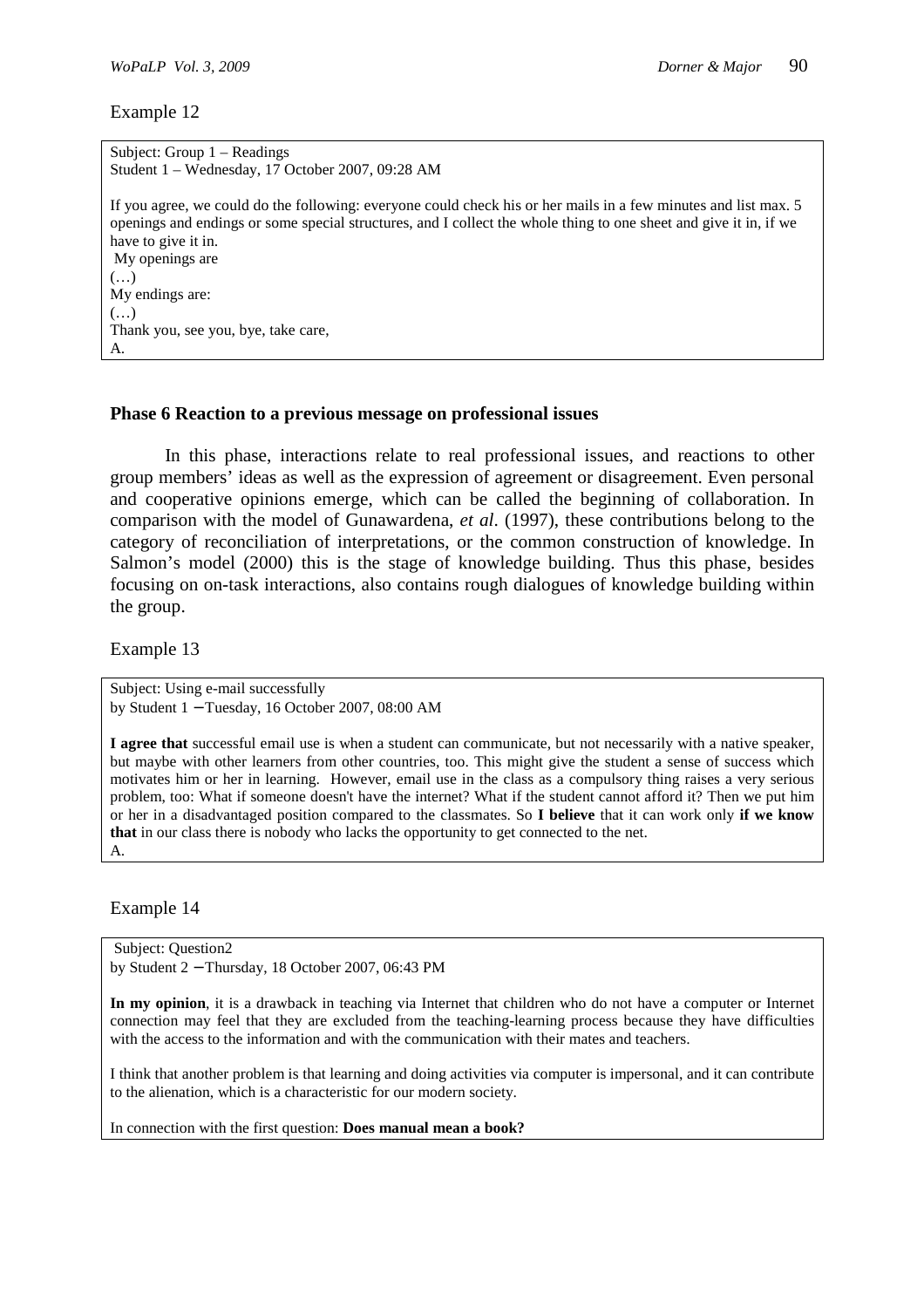Subject: Group 1 – Readings Student 1 – Wednesday, 17 October 2007, 09:28 AM If you agree, we could do the following: everyone could check his or her mails in a few minutes and list max. 5 openings and endings or some special structures, and I collect the whole thing to one sheet and give it in, if we have to give it in. My openings are (…) My endings are: (…) Thank you, see you, bye, take care, A.

#### **Phase 6 Reaction to a previous message on professional issues**

In this phase, interactions relate to real professional issues, and reactions to other group members' ideas as well as the expression of agreement or disagreement. Even personal and cooperative opinions emerge, which can be called the beginning of collaboration. In comparison with the model of Gunawardena, *et al*. (1997), these contributions belong to the category of reconciliation of interpretations, or the common construction of knowledge. In Salmon's model (2000) this is the stage of knowledge building. Thus this phase, besides focusing on on-task interactions, also contains rough dialogues of knowledge building within the group.

Example 13

Subject: Using e-mail successfully by Student 1 − Tuesday, 16 October 2007, 08:00 AM

**I agree that** successful email use is when a student can communicate, but not necessarily with a native speaker, but maybe with other learners from other countries, too. This might give the student a sense of success which motivates him or her in learning. However, email use in the class as a compulsory thing raises a very serious problem, too: What if someone doesn't have the internet? What if the student cannot afford it? Then we put him or her in a disadvantaged position compared to the classmates. So **I believe** that it can work only **if we know that** in our class there is nobody who lacks the opportunity to get connected to the net. A.

Example 14

 Subject: Question2 by Student 2 − Thursday, 18 October 2007, 06:43 PM

**In my opinion**, it is a drawback in teaching via Internet that children who do not have a computer or Internet connection may feel that they are excluded from the teaching-learning process because they have difficulties with the access to the information and with the communication with their mates and teachers.

I think that another problem is that learning and doing activities via computer is impersonal, and it can contribute to the alienation, which is a characteristic for our modern society.

In connection with the first question: **Does manual mean a book?**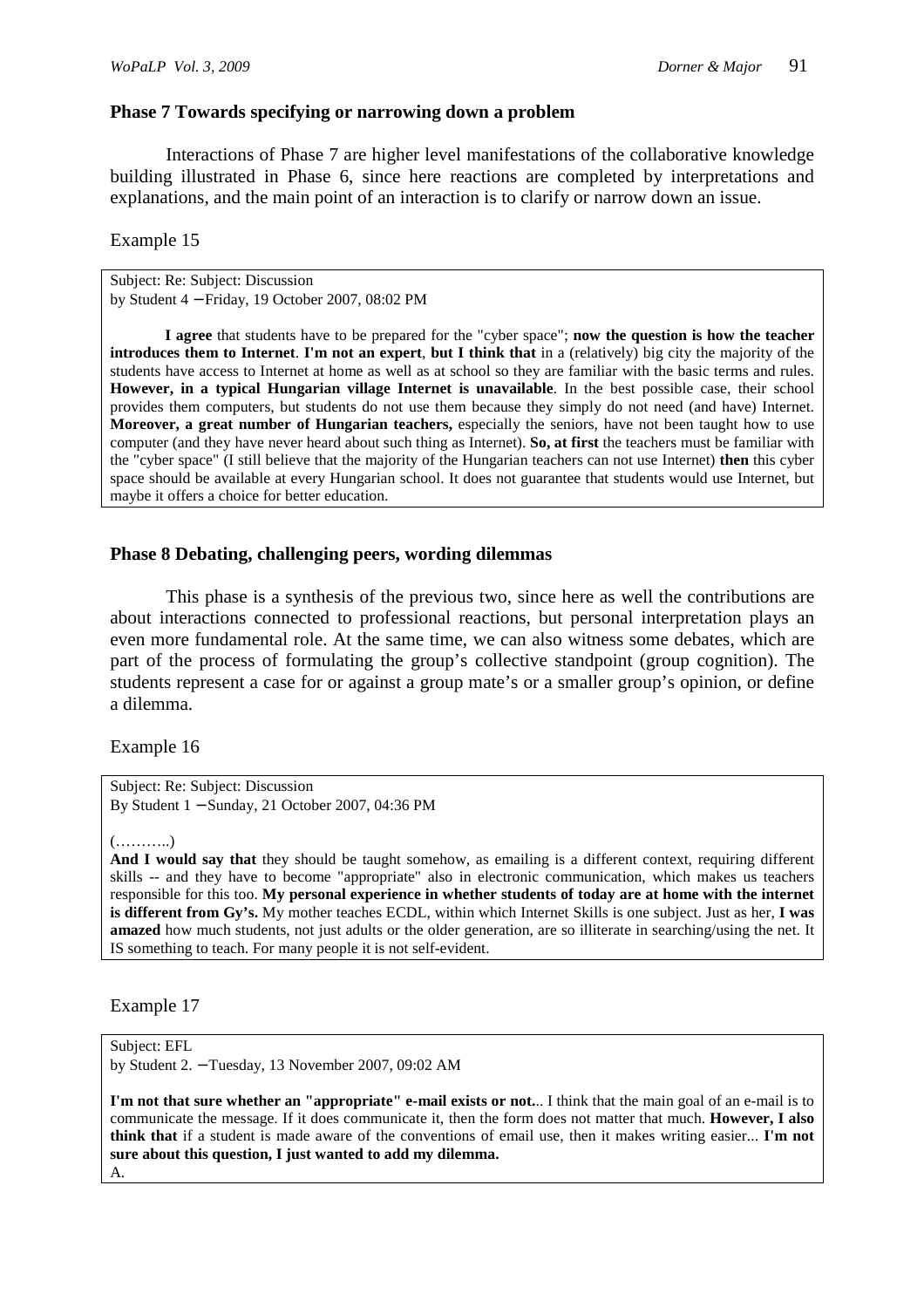## **Phase 7 Towards specifying or narrowing down a problem**

Interactions of Phase 7 are higher level manifestations of the collaborative knowledge building illustrated in Phase 6, since here reactions are completed by interpretations and explanations, and the main point of an interaction is to clarify or narrow down an issue.

Example 15

Subject: Re: Subject: Discussion by Student 4 − Friday, 19 October 2007, 08:02 PM

**I agree** that students have to be prepared for the "cyber space"; **now the question is how the teacher introduces them to Internet**. **I'm not an expert**, **but I think that** in a (relatively) big city the majority of the students have access to Internet at home as well as at school so they are familiar with the basic terms and rules. **However, in a typical Hungarian village Internet is unavailable**. In the best possible case, their school provides them computers, but students do not use them because they simply do not need (and have) Internet. **Moreover, a great number of Hungarian teachers,** especially the seniors, have not been taught how to use computer (and they have never heard about such thing as Internet). **So, at first** the teachers must be familiar with the "cyber space" (I still believe that the majority of the Hungarian teachers can not use Internet) **then** this cyber space should be available at every Hungarian school. It does not guarantee that students would use Internet, but maybe it offers a choice for better education.

#### **Phase 8 Debating, challenging peers, wording dilemmas**

This phase is a synthesis of the previous two, since here as well the contributions are about interactions connected to professional reactions, but personal interpretation plays an even more fundamental role. At the same time, we can also witness some debates, which are part of the process of formulating the group's collective standpoint (group cognition). The students represent a case for or against a group mate's or a smaller group's opinion, or define a dilemma.

Example 16

Subject: Re: Subject: Discussion By Student 1 − Sunday, 21 October 2007, 04:36 PM

(………..)

**And I would say that** they should be taught somehow, as emailing is a different context, requiring different skills -- and they have to become "appropriate" also in electronic communication, which makes us teachers responsible for this too. **My personal experience in whether students of today are at home with the internet is different from Gy's.** My mother teaches ECDL, within which Internet Skills is one subject. Just as her, **I was amazed** how much students, not just adults or the older generation, are so illiterate in searching/using the net. It IS something to teach. For many people it is not self-evident.

Example 17

Subject: EFL

by Student 2. − Tuesday, 13 November 2007, 09:02 AM

**I'm not that sure whether an "appropriate" e-mail exists or not.**.. I think that the main goal of an e-mail is to communicate the message. If it does communicate it, then the form does not matter that much. **However, I also think that** if a student is made aware of the conventions of email use, then it makes writing easier... **I'm not sure about this question, I just wanted to add my dilemma.** 

A.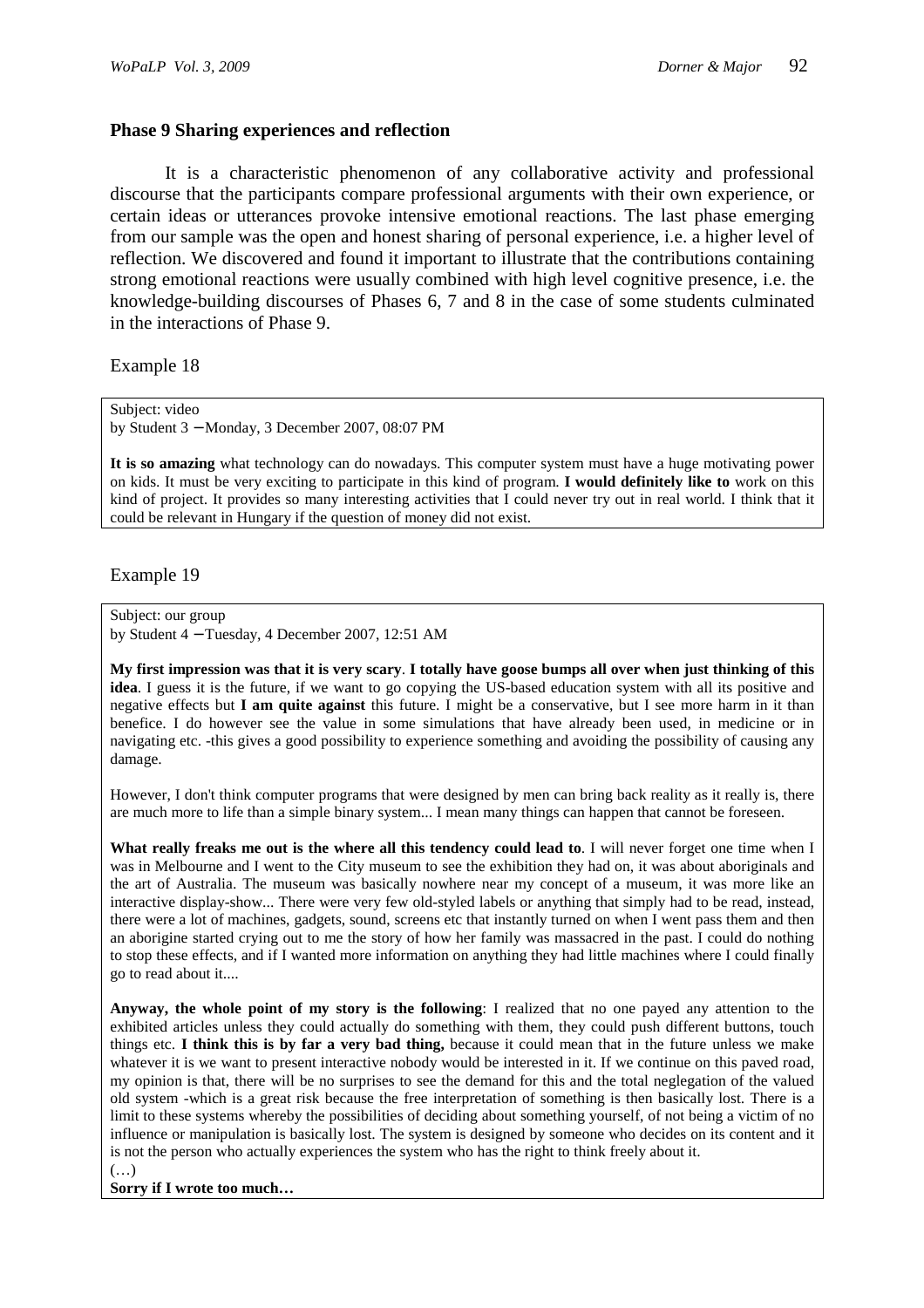## **Phase 9 Sharing experiences and reflection**

It is a characteristic phenomenon of any collaborative activity and professional discourse that the participants compare professional arguments with their own experience, or certain ideas or utterances provoke intensive emotional reactions. The last phase emerging from our sample was the open and honest sharing of personal experience, i.e. a higher level of reflection. We discovered and found it important to illustrate that the contributions containing strong emotional reactions were usually combined with high level cognitive presence, i.e. the knowledge-building discourses of Phases 6, 7 and 8 in the case of some students culminated in the interactions of Phase 9.

Example 18

Subject: video by Student 3 − Monday, 3 December 2007, 08:07 PM

**It is so amazing** what technology can do nowadays. This computer system must have a huge motivating power on kids. It must be very exciting to participate in this kind of program. **I would definitely like to** work on this kind of project. It provides so many interesting activities that I could never try out in real world. I think that it could be relevant in Hungary if the question of money did not exist.

Example 19

Subject: our group

by Student 4 − Tuesday, 4 December 2007, 12:51 AM

**My first impression was that it is very scary**. **I totally have goose bumps all over when just thinking of this idea**. I guess it is the future, if we want to go copying the US-based education system with all its positive and negative effects but **I am quite against** this future. I might be a conservative, but I see more harm in it than benefice. I do however see the value in some simulations that have already been used, in medicine or in navigating etc. -this gives a good possibility to experience something and avoiding the possibility of causing any damage.

However, I don't think computer programs that were designed by men can bring back reality as it really is, there are much more to life than a simple binary system... I mean many things can happen that cannot be foreseen.

**What really freaks me out is the where all this tendency could lead to**. I will never forget one time when I was in Melbourne and I went to the City museum to see the exhibition they had on, it was about aboriginals and the art of Australia. The museum was basically nowhere near my concept of a museum, it was more like an interactive display-show... There were very few old-styled labels or anything that simply had to be read, instead, there were a lot of machines, gadgets, sound, screens etc that instantly turned on when I went pass them and then an aborigine started crying out to me the story of how her family was massacred in the past. I could do nothing to stop these effects, and if I wanted more information on anything they had little machines where I could finally go to read about it....

**Anyway, the whole point of my story is the following**: I realized that no one payed any attention to the exhibited articles unless they could actually do something with them, they could push different buttons, touch things etc. **I think this is by far a very bad thing,** because it could mean that in the future unless we make whatever it is we want to present interactive nobody would be interested in it. If we continue on this paved road, my opinion is that, there will be no surprises to see the demand for this and the total neglegation of the valued old system -which is a great risk because the free interpretation of something is then basically lost. There is a limit to these systems whereby the possibilities of deciding about something yourself, of not being a victim of no influence or manipulation is basically lost. The system is designed by someone who decides on its content and it is not the person who actually experiences the system who has the right to think freely about it.

**Sorry if I wrote too much…**

 $(\ldots)$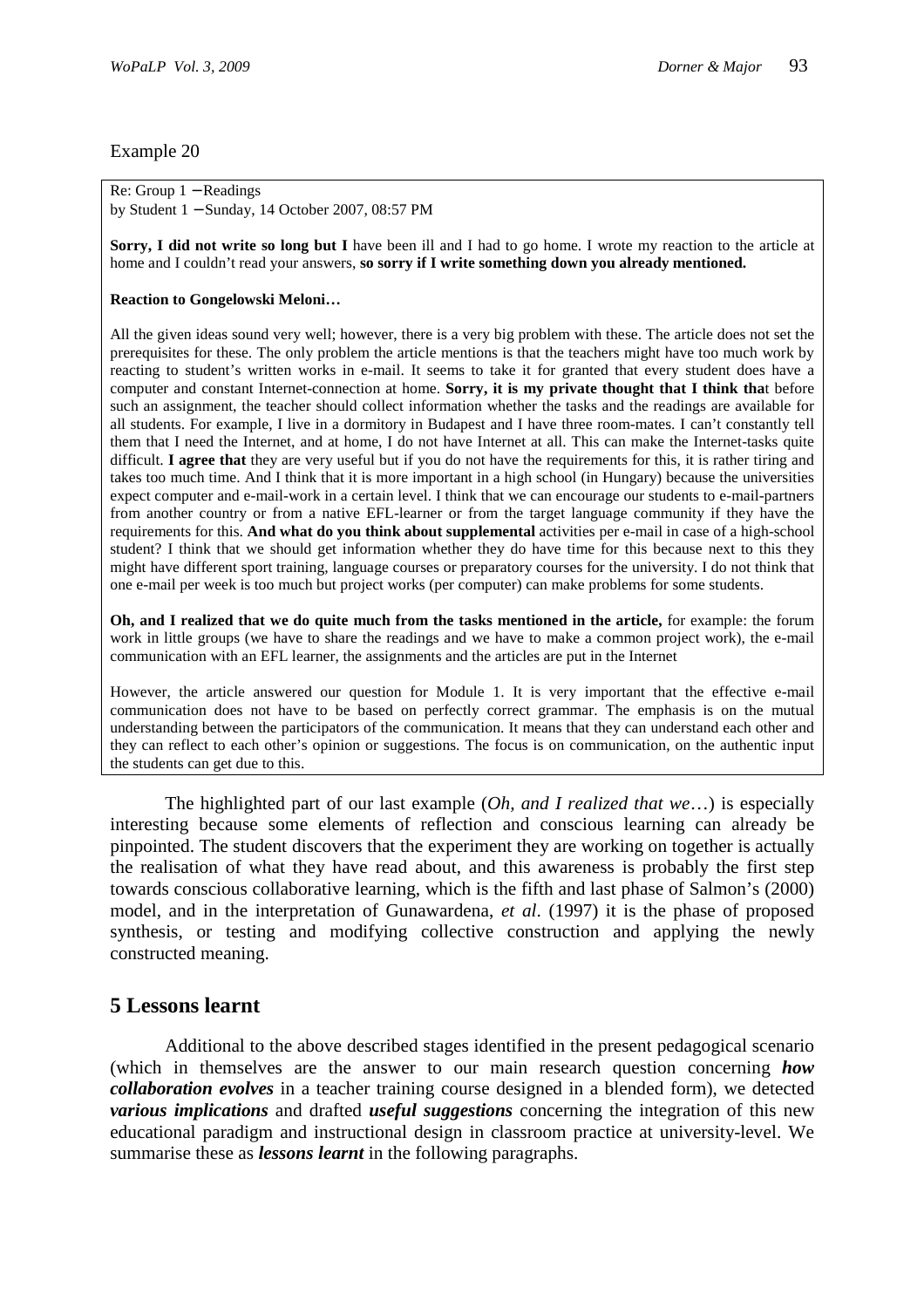#### Re: Group 1 − Readings by Student 1 − Sunday, 14 October 2007, 08:57 PM

**Sorry, I did not write so long but I** have been ill and I had to go home. I wrote my reaction to the article at home and I couldn't read your answers, **so sorry if I write something down you already mentioned.** 

#### **Reaction to Gongelowski Meloni…**

All the given ideas sound very well; however, there is a very big problem with these. The article does not set the prerequisites for these. The only problem the article mentions is that the teachers might have too much work by reacting to student's written works in e-mail. It seems to take it for granted that every student does have a computer and constant Internet-connection at home. **Sorry, it is my private thought that I think tha**t before such an assignment, the teacher should collect information whether the tasks and the readings are available for all students. For example, I live in a dormitory in Budapest and I have three room-mates. I can't constantly tell them that I need the Internet, and at home, I do not have Internet at all. This can make the Internet-tasks quite difficult. **I agree that** they are very useful but if you do not have the requirements for this, it is rather tiring and takes too much time. And I think that it is more important in a high school (in Hungary) because the universities expect computer and e-mail-work in a certain level. I think that we can encourage our students to e-mail-partners from another country or from a native EFL-learner or from the target language community if they have the requirements for this. **And what do you think about supplemental** activities per e-mail in case of a high-school student? I think that we should get information whether they do have time for this because next to this they might have different sport training, language courses or preparatory courses for the university. I do not think that one e-mail per week is too much but project works (per computer) can make problems for some students.

**Oh, and I realized that we do quite much from the tasks mentioned in the article,** for example: the forum work in little groups (we have to share the readings and we have to make a common project work), the e-mail communication with an EFL learner, the assignments and the articles are put in the Internet

However, the article answered our question for Module 1. It is very important that the effective e-mail communication does not have to be based on perfectly correct grammar. The emphasis is on the mutual understanding between the participators of the communication. It means that they can understand each other and they can reflect to each other's opinion or suggestions. The focus is on communication, on the authentic input the students can get due to this.

The highlighted part of our last example (*Oh, and I realized that we*…) is especially interesting because some elements of reflection and conscious learning can already be pinpointed. The student discovers that the experiment they are working on together is actually the realisation of what they have read about, and this awareness is probably the first step towards conscious collaborative learning, which is the fifth and last phase of Salmon's (2000) model, and in the interpretation of Gunawardena, *et al*. (1997) it is the phase of proposed synthesis, or testing and modifying collective construction and applying the newly constructed meaning.

# **5 Lessons learnt**

Additional to the above described stages identified in the present pedagogical scenario (which in themselves are the answer to our main research question concerning *how collaboration evolves* in a teacher training course designed in a blended form), we detected *various implications* and drafted *useful suggestions* concerning the integration of this new educational paradigm and instructional design in classroom practice at university-level. We summarise these as *lessons learnt* in the following paragraphs.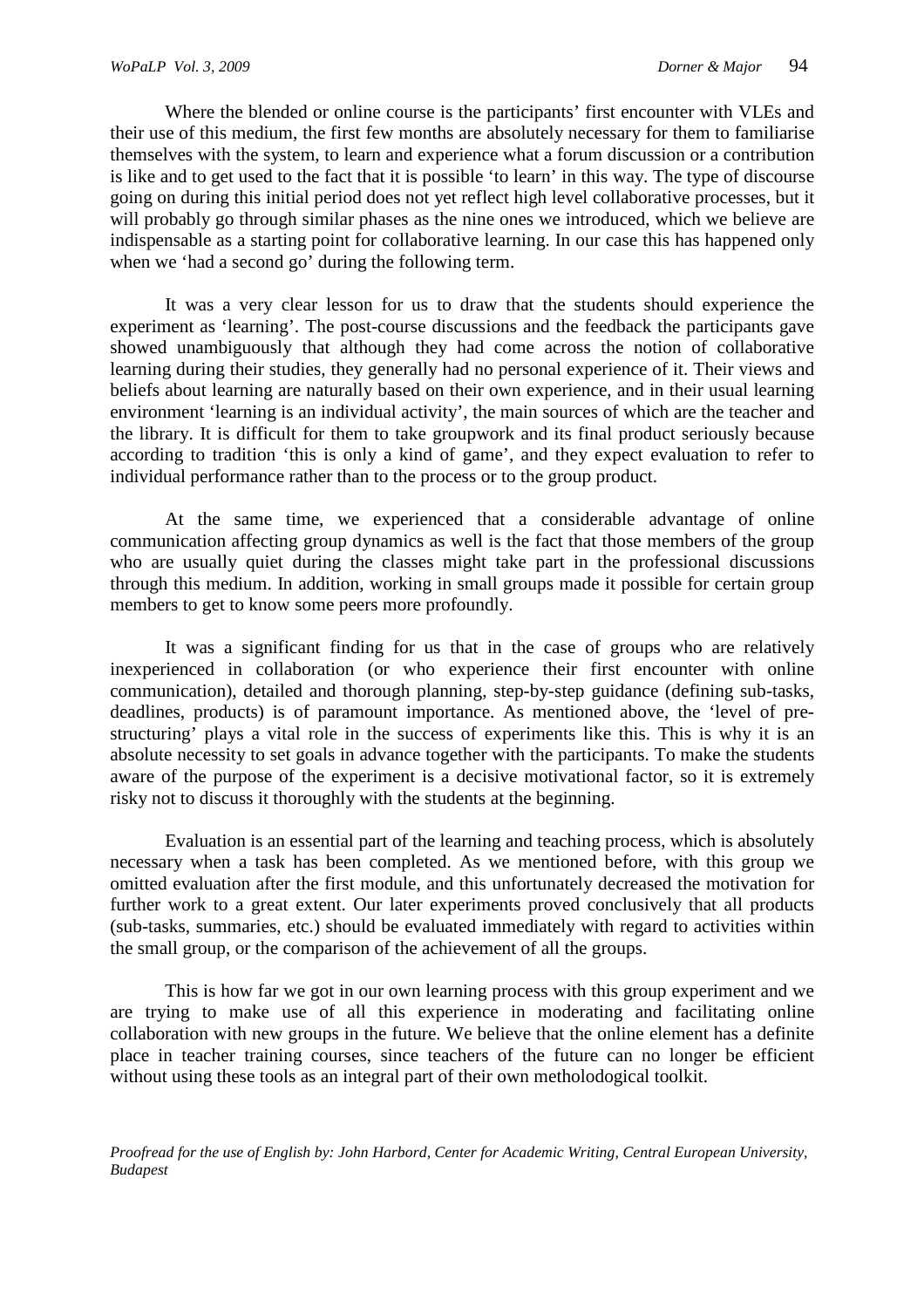Where the blended or online course is the participants' first encounter with VLEs and their use of this medium, the first few months are absolutely necessary for them to familiarise themselves with the system, to learn and experience what a forum discussion or a contribution is like and to get used to the fact that it is possible 'to learn' in this way. The type of discourse going on during this initial period does not yet reflect high level collaborative processes, but it will probably go through similar phases as the nine ones we introduced, which we believe are indispensable as a starting point for collaborative learning. In our case this has happened only when we 'had a second go' during the following term.

It was a very clear lesson for us to draw that the students should experience the experiment as 'learning'. The post-course discussions and the feedback the participants gave showed unambiguously that although they had come across the notion of collaborative learning during their studies, they generally had no personal experience of it. Their views and beliefs about learning are naturally based on their own experience, and in their usual learning environment 'learning is an individual activity', the main sources of which are the teacher and the library. It is difficult for them to take groupwork and its final product seriously because according to tradition 'this is only a kind of game', and they expect evaluation to refer to individual performance rather than to the process or to the group product.

At the same time, we experienced that a considerable advantage of online communication affecting group dynamics as well is the fact that those members of the group who are usually quiet during the classes might take part in the professional discussions through this medium. In addition, working in small groups made it possible for certain group members to get to know some peers more profoundly.

It was a significant finding for us that in the case of groups who are relatively inexperienced in collaboration (or who experience their first encounter with online communication), detailed and thorough planning, step-by-step guidance (defining sub-tasks, deadlines, products) is of paramount importance. As mentioned above, the 'level of prestructuring' plays a vital role in the success of experiments like this. This is why it is an absolute necessity to set goals in advance together with the participants. To make the students aware of the purpose of the experiment is a decisive motivational factor, so it is extremely risky not to discuss it thoroughly with the students at the beginning.

Evaluation is an essential part of the learning and teaching process, which is absolutely necessary when a task has been completed. As we mentioned before, with this group we omitted evaluation after the first module, and this unfortunately decreased the motivation for further work to a great extent. Our later experiments proved conclusively that all products (sub-tasks, summaries, etc.) should be evaluated immediately with regard to activities within the small group, or the comparison of the achievement of all the groups.

This is how far we got in our own learning process with this group experiment and we are trying to make use of all this experience in moderating and facilitating online collaboration with new groups in the future. We believe that the online element has a definite place in teacher training courses, since teachers of the future can no longer be efficient without using these tools as an integral part of their own metholodogical toolkit.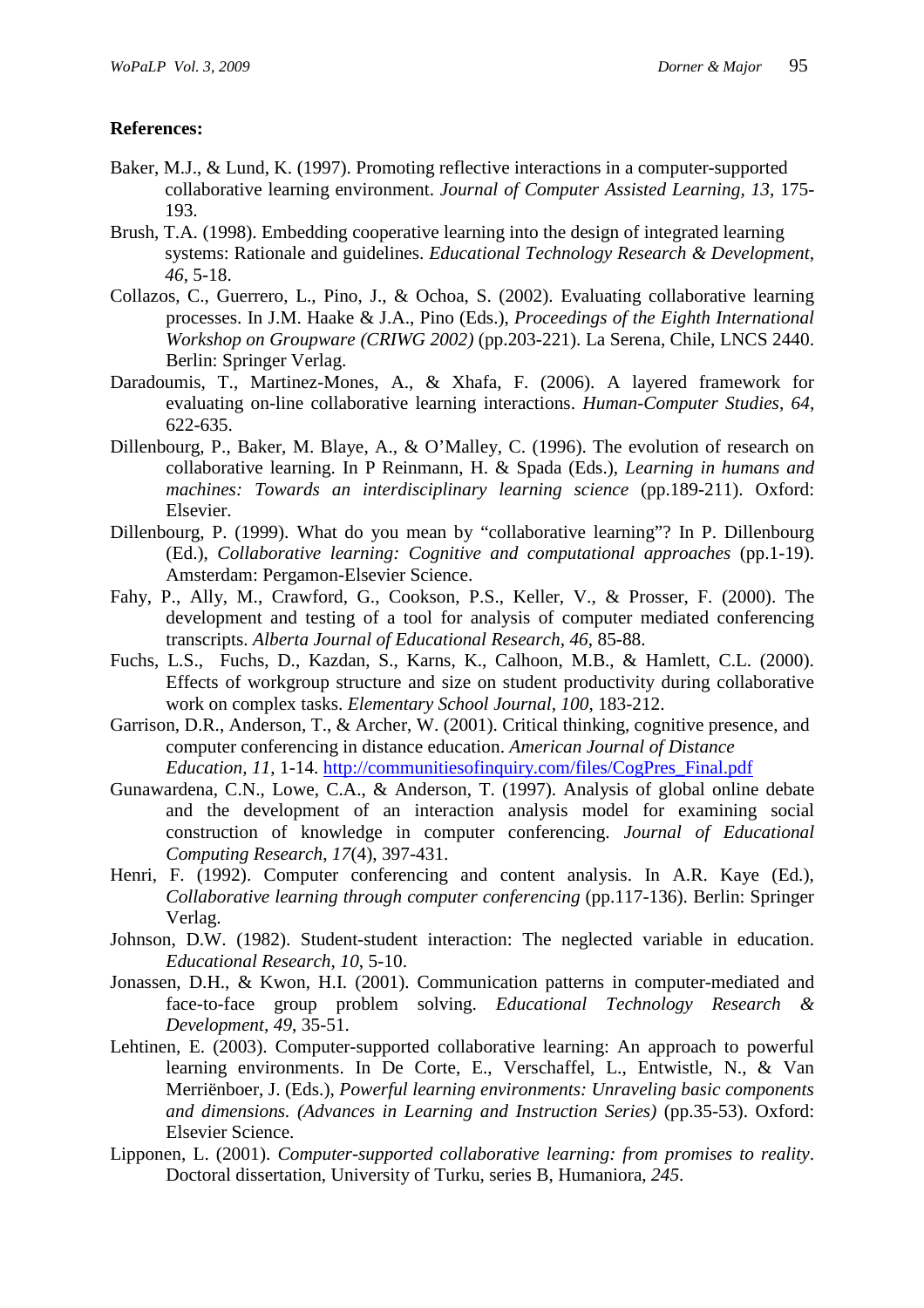#### **References:**

- Baker, M.J., & Lund, K. (1997). Promoting reflective interactions in a computer-supported collaborative learning environment. *Journal of Computer Assisted Learning, 13*, 175- 193.
- Brush, T.A. (1998). Embedding cooperative learning into the design of integrated learning systems: Rationale and guidelines. *Educational Technology Research & Development, 46*, 5-18.
- Collazos, C., Guerrero, L., Pino, J., & Ochoa, S. (2002). Evaluating collaborative learning processes. In J.M. Haake & J.A., Pino (Eds.), *Proceedings of the Eighth International Workshop on Groupware (CRIWG 2002)* (pp.203-221). La Serena, Chile, LNCS 2440. Berlin: Springer Verlag.
- Daradoumis, T., Martinez-Mones, A., & Xhafa, F. (2006). A layered framework for evaluating on-line collaborative learning interactions. *Human-Computer Studies, 64*, 622-635.
- Dillenbourg, P., Baker, M. Blaye, A., & O'Malley, C. (1996). The evolution of research on collaborative learning. In P Reinmann, H. & Spada (Eds.), *Learning in humans and machines: Towards an interdisciplinary learning science* (pp.189-211). Oxford: Elsevier.
- Dillenbourg, P. (1999). What do you mean by "collaborative learning"? In P. Dillenbourg (Ed.), *Collaborative learning: Cognitive and computational approaches* (pp.1-19). Amsterdam: Pergamon-Elsevier Science.
- Fahy, P., Ally, M., Crawford, G., Cookson, P.S., Keller, V., & Prosser, F. (2000). The development and testing of a tool for analysis of computer mediated conferencing transcripts. *Alberta Journal of Educational Research, 46*, 85-88.
- Fuchs, L.S., Fuchs, D., Kazdan, S., Karns, K., Calhoon, M.B., & Hamlett, C.L. (2000). Effects of workgroup structure and size on student productivity during collaborative work on complex tasks. *Elementary School Journal, 100*, 183-212.
- Garrison, D.R., Anderson, T., & Archer, W. (2001). Critical thinking, cognitive presence, and computer conferencing in distance education. *American Journal of Distance Education, 11*, 1-14. http://communitiesofinquiry.com/files/CogPres\_Final.pdf
- Gunawardena, C.N., Lowe, C.A., & Anderson, T. (1997). Analysis of global online debate and the development of an interaction analysis model for examining social construction of knowledge in computer conferencing. *Journal of Educational Computing Research*, *17*(4), 397-431.
- Henri, F. (1992). Computer conferencing and content analysis. In A.R. Kaye (Ed.), *Collaborative learning through computer conferencing* (pp.117-136). Berlin: Springer Verlag.
- Johnson, D.W. (1982). Student-student interaction: The neglected variable in education. *Educational Research, 10*, 5-10.
- Jonassen, D.H., & Kwon, H.I. (2001). Communication patterns in computer-mediated and face-to-face group problem solving. *Educational Technology Research & Development, 49*, 35-51.
- Lehtinen, E. (2003). Computer-supported collaborative learning: An approach to powerful learning environments. In De Corte, E., Verschaffel, L., Entwistle, N., & Van Merriënboer, J. (Eds.), *Powerful learning environments: Unraveling basic components and dimensions. (Advances in Learning and Instruction Series)* (pp.35-53). Oxford: Elsevier Science.
- Lipponen, L. (2001). *Computer-supported collaborative learning: from promises to reality*. Doctoral dissertation, University of Turku, series B, Humaniora, *245*.